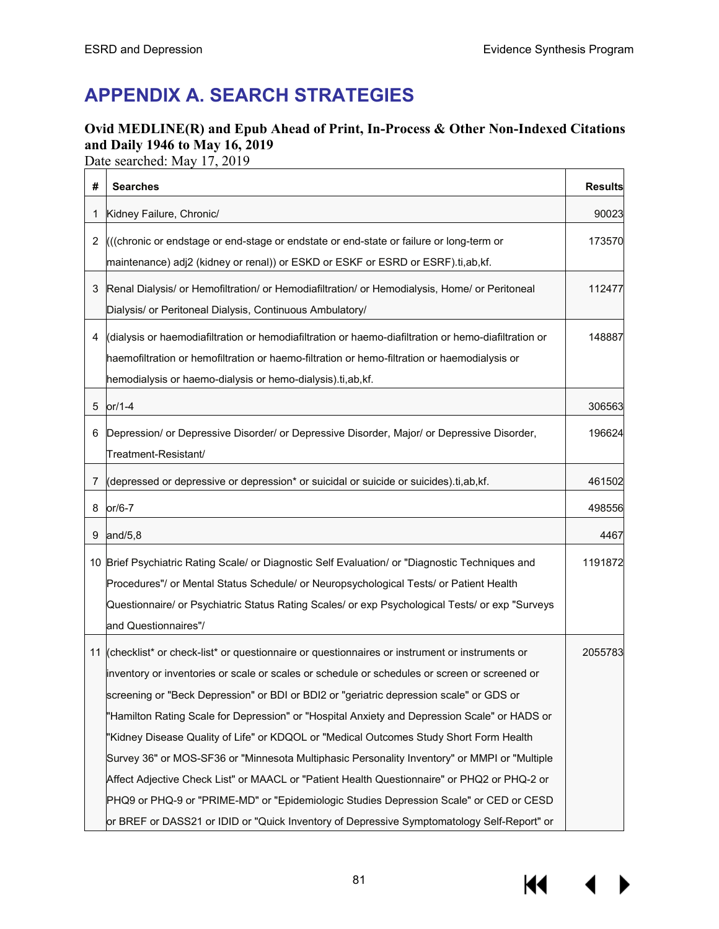# **APPENDIX A. SEARCH STRATEGIES**

## **Ovid MEDLINE(R) and Epub Ahead of Print, In-Process & Other Non-Indexed Citations and Daily 1946 to May 16, 2019**

Date searched: May 17, 2019

| #  | <b>Searches</b>                                                                                                                                                                                                                                                                                                                                                                                                                                                                                                                                                                                                                                                                                                                                                                                                                                                               | <b>Results</b> |
|----|-------------------------------------------------------------------------------------------------------------------------------------------------------------------------------------------------------------------------------------------------------------------------------------------------------------------------------------------------------------------------------------------------------------------------------------------------------------------------------------------------------------------------------------------------------------------------------------------------------------------------------------------------------------------------------------------------------------------------------------------------------------------------------------------------------------------------------------------------------------------------------|----------------|
| 1  | Kidney Failure, Chronic/                                                                                                                                                                                                                                                                                                                                                                                                                                                                                                                                                                                                                                                                                                                                                                                                                                                      | 90023          |
| 2  | (((chronic or endstage or end-stage or endstate or end-state or failure or long-term or<br>maintenance) adj2 (kidney or renal)) or ESKD or ESKF or ESRD or ESRF).ti,ab,kf.                                                                                                                                                                                                                                                                                                                                                                                                                                                                                                                                                                                                                                                                                                    | 173570         |
| 3  | Renal Dialysis/ or Hemofiltration/ or Hemodiafiltration/ or Hemodialysis, Home/ or Peritoneal<br>Dialysis/ or Peritoneal Dialysis, Continuous Ambulatory/                                                                                                                                                                                                                                                                                                                                                                                                                                                                                                                                                                                                                                                                                                                     | 112477         |
| 4  | (dialysis or haemodiafiltration or hemodiafiltration or haemo-diafiltration or hemo-diafiltration or<br>haemofiltration or hemofiltration or haemo-filtration or hemo-filtration or haemodialysis or<br>hemodialysis or haemo-dialysis or hemo-dialysis).ti,ab,kf.                                                                                                                                                                                                                                                                                                                                                                                                                                                                                                                                                                                                            | 148887         |
| 5  | $or/1-4$                                                                                                                                                                                                                                                                                                                                                                                                                                                                                                                                                                                                                                                                                                                                                                                                                                                                      | 306563         |
| 6  | Depression/ or Depressive Disorder/ or Depressive Disorder, Major/ or Depressive Disorder,<br>Treatment-Resistant/                                                                                                                                                                                                                                                                                                                                                                                                                                                                                                                                                                                                                                                                                                                                                            | 196624         |
| 7  | (depressed or depressive or depression* or suicidal or suicide or suicides).ti,ab, kf.                                                                                                                                                                                                                                                                                                                                                                                                                                                                                                                                                                                                                                                                                                                                                                                        | 461502         |
| 8  | $or/6-7$                                                                                                                                                                                                                                                                                                                                                                                                                                                                                                                                                                                                                                                                                                                                                                                                                                                                      | 498556         |
| 9  | and/ $5,8$                                                                                                                                                                                                                                                                                                                                                                                                                                                                                                                                                                                                                                                                                                                                                                                                                                                                    | 4467           |
| 10 | Brief Psychiatric Rating Scale/ or Diagnostic Self Evaluation/ or "Diagnostic Techniques and<br>Procedures"/ or Mental Status Schedule/ or Neuropsychological Tests/ or Patient Health<br>Questionnaire/ or Psychiatric Status Rating Scales/ or exp Psychological Tests/ or exp "Surveys<br>and Questionnaires"/                                                                                                                                                                                                                                                                                                                                                                                                                                                                                                                                                             | 1191872        |
|    | 11 (checklist* or check-list* or questionnaire or questionnaires or instrument or instruments or<br>inventory or inventories or scale or scales or schedule or schedules or screen or screened or<br>screening or "Beck Depression" or BDI or BDI2 or "geriatric depression scale" or GDS or<br>"Hamilton Rating Scale for Depression" or "Hospital Anxiety and Depression Scale" or HADS or<br>"Kidney Disease Quality of Life" or KDQOL or "Medical Outcomes Study Short Form Health<br>Survey 36" or MOS-SF36 or "Minnesota Multiphasic Personality Inventory" or MMPI or "Multiple<br>Affect Adjective Check List" or MAACL or "Patient Health Questionnaire" or PHQ2 or PHQ-2 or<br>PHQ9 or PHQ-9 or "PRIME-MD" or "Epidemiologic Studies Depression Scale" or CED or CESD<br>or BREF or DASS21 or IDID or "Quick Inventory of Depressive Symptomatology Self-Report" or | 2055783        |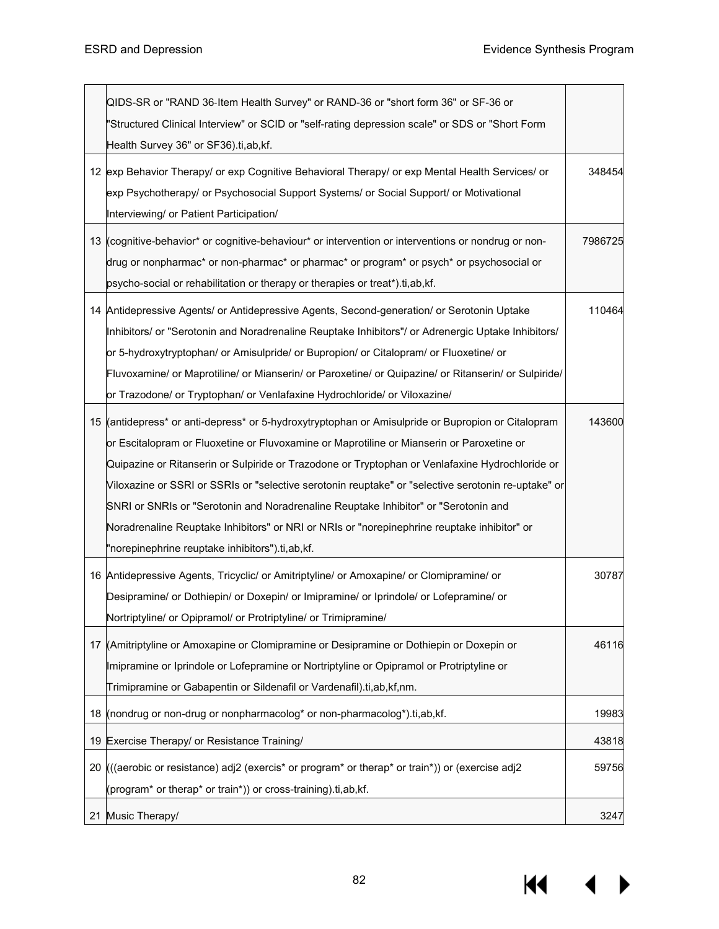|    | QIDS-SR or "RAND 36-Item Health Survey" or RAND-36 or "short form 36" or SF-36 or                    |         |
|----|------------------------------------------------------------------------------------------------------|---------|
|    | 'Structured Clinical Interview" or SCID or "self-rating depression scale" or SDS or "Short Form      |         |
|    | Health Survey 36" or SF36).ti,ab,kf.                                                                 |         |
|    | 12 exp Behavior Therapy/ or exp Cognitive Behavioral Therapy/ or exp Mental Health Services/ or      | 348454  |
|    | exp Psychotherapy/ or Psychosocial Support Systems/ or Social Support/ or Motivational               |         |
|    | Interviewing/ or Patient Participation/                                                              |         |
|    | 13 (cognitive-behavior* or cognitive-behaviour* or intervention or interventions or nondrug or non-  | 7986725 |
|    | drug or nonpharmac* or non-pharmac* or pharmac* or program* or psych* or psychosocial or             |         |
|    | psycho-social or rehabilitation or therapy or therapies or treat*).ti, ab, kf.                       |         |
|    | 14 Antidepressive Agents/ or Antidepressive Agents, Second-generation/ or Serotonin Uptake           | 110464  |
|    | Inhibitors/ or "Serotonin and Noradrenaline Reuptake Inhibitors"/ or Adrenergic Uptake Inhibitors/   |         |
|    | or 5-hydroxytryptophan/ or Amisulpride/ or Bupropion/ or Citalopram/ or Fluoxetine/ or               |         |
|    | Fluvoxamine/ or Maprotiline/ or Mianserin/ or Paroxetine/ or Quipazine/ or Ritanserin/ or Sulpiride/ |         |
|    | or Trazodone/ or Tryptophan/ or Venlafaxine Hydrochloride/ or Viloxazine/                            |         |
|    | 15 (antidepress* or anti-depress* or 5-hydroxytryptophan or Amisulpride or Bupropion or Citalopram   | 143600  |
|    | or Escitalopram or Fluoxetine or Fluvoxamine or Maprotiline or Mianserin or Paroxetine or            |         |
|    | Quipazine or Ritanserin or Sulpiride or Trazodone or Tryptophan or Venlafaxine Hydrochloride or      |         |
|    | Viloxazine or SSRI or SSRIs or "selective serotonin reuptake" or "selective serotonin re-uptake" or  |         |
|    | SNRI or SNRIs or "Serotonin and Noradrenaline Reuptake Inhibitor" or "Serotonin and                  |         |
|    | Noradrenaline Reuptake Inhibitors" or NRI or NRIs or "norepinephrine reuptake inhibitor" or          |         |
|    | 'norepinephrine reuptake inhibitors").ti,ab,kf.                                                      |         |
|    | 16 Antidepressive Agents, Tricyclic/ or Amitriptyline/ or Amoxapine/ or Clomipramine/ or             | 30787   |
|    | Desipramine/ or Dothiepin/ or Doxepin/ or Imipramine/ or Iprindole/ or Lofepramine/ or               |         |
|    | Nortriptyline/ or Opipramol/ or Protriptyline/ or Trimipramine/                                      |         |
|    | 17 (Amitriptyline or Amoxapine or Clomipramine or Desipramine or Dothiepin or Doxepin or             | 46116   |
|    | Imipramine or Iprindole or Lofepramine or Nortriptyline or Opipramol or Protriptyline or             |         |
|    | Trimipramine or Gabapentin or Sildenafil or Vardenafil).ti,ab,kf,nm.                                 |         |
|    | 18 (nondrug or non-drug or nonpharmacolog* or non-pharmacolog*).ti,ab, kf.                           | 19983   |
| 19 | Exercise Therapy/ or Resistance Training/                                                            | 43818   |
| 20 | (((aerobic or resistance) adj2 (exercis* or program* or therap* or train*)) or (exercise adj2        | 59756   |
|    | (program* or therap* or train*)) or cross-training).ti,ab,kf.                                        |         |
|    | 21 Music Therapy/                                                                                    | 3247    |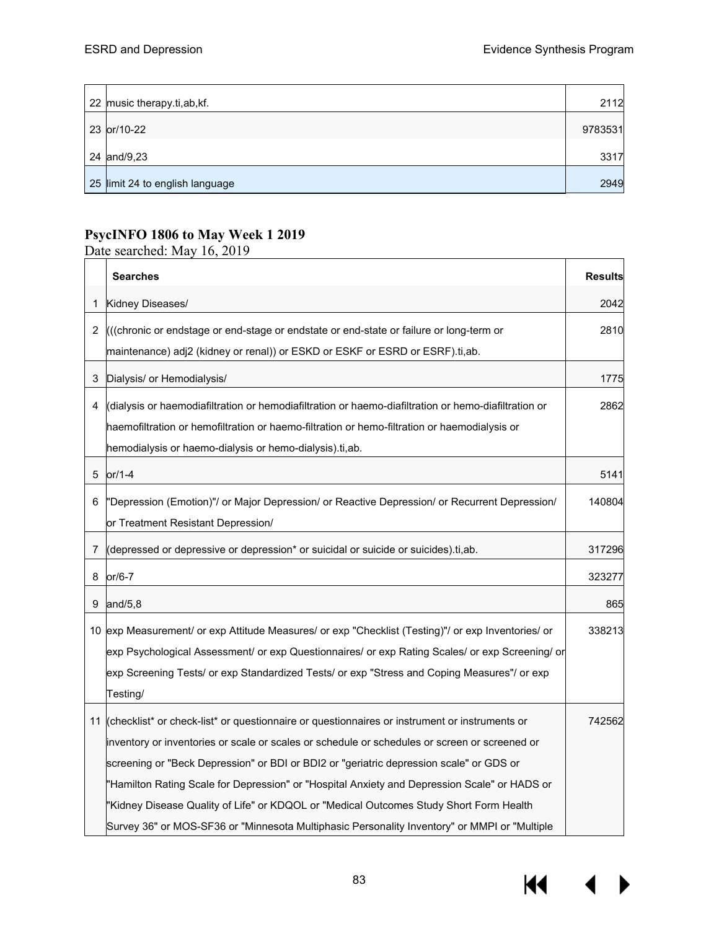| 22 music therapy.ti, ab, kf.    | 2112    |
|---------------------------------|---------|
| 23 or/10-22                     | 9783531 |
| 24 and/9,23                     | 3317    |
| 25 limit 24 to english language | 2949    |

## **PsycINFO 1806 to May Week 1 2019**

Date searched: May 16, 2019

|   | <b>Searches</b>                                                                                                                                                                                                                                                                                                                                                                                                                                                                                                                                                                        | <b>Results</b> |
|---|----------------------------------------------------------------------------------------------------------------------------------------------------------------------------------------------------------------------------------------------------------------------------------------------------------------------------------------------------------------------------------------------------------------------------------------------------------------------------------------------------------------------------------------------------------------------------------------|----------------|
| 1 | Kidney Diseases/                                                                                                                                                                                                                                                                                                                                                                                                                                                                                                                                                                       | 2042           |
| 2 | (((chronic or endstage or end-stage or endstate or end-state or failure or long-term or<br>maintenance) adj2 (kidney or renal)) or ESKD or ESKF or ESRD or ESRF).ti,ab.                                                                                                                                                                                                                                                                                                                                                                                                                | 2810           |
| 3 | Dialysis/ or Hemodialysis/                                                                                                                                                                                                                                                                                                                                                                                                                                                                                                                                                             | 1775           |
| 4 | (dialysis or haemodiafiltration or hemodiafiltration or haemo-diafiltration or hemo-diafiltration or<br>haemofiltration or hemofiltration or haemo-filtration or hemo-filtration or haemodialysis or<br>hemodialysis or haemo-dialysis or hemo-dialysis).ti,ab.                                                                                                                                                                                                                                                                                                                        | 2862           |
| 5 | $or/1-4$                                                                                                                                                                                                                                                                                                                                                                                                                                                                                                                                                                               | 5141           |
| 6 | "Depression (Emotion)"/ or Major Depression/ or Reactive Depression/ or Recurrent Depression/<br>or Treatment Resistant Depression/                                                                                                                                                                                                                                                                                                                                                                                                                                                    | 140804         |
| 7 | (depressed or depressive or depression* or suicidal or suicide or suicides).ti,ab.                                                                                                                                                                                                                                                                                                                                                                                                                                                                                                     | 317296         |
| 8 | $or/6-7$                                                                                                                                                                                                                                                                                                                                                                                                                                                                                                                                                                               | 323277         |
| 9 | and/ $5,8$                                                                                                                                                                                                                                                                                                                                                                                                                                                                                                                                                                             | 865            |
|   | 10 exp Measurement/ or exp Attitude Measures/ or exp "Checklist (Testing)"/ or exp Inventories/ or<br>exp Psychological Assessment/ or exp Questionnaires/ or exp Rating Scales/ or exp Screening/ or<br>exp Screening Tests/ or exp Standardized Tests/ or exp "Stress and Coping Measures"/ or exp<br>Testing/                                                                                                                                                                                                                                                                       | 338213         |
|   | 11 (checklist* or check-list* or questionnaire or questionnaires or instrument or instruments or<br>inventory or inventories or scale or scales or schedule or schedules or screen or screened or<br>screening or "Beck Depression" or BDI or BDI2 or "geriatric depression scale" or GDS or<br>"Hamilton Rating Scale for Depression" or "Hospital Anxiety and Depression Scale" or HADS or<br>"Kidney Disease Quality of Life" or KDQOL or "Medical Outcomes Study Short Form Health<br>Survey 36" or MOS-SF36 or "Minnesota Multiphasic Personality Inventory" or MMPI or "Multiple | 742562         |

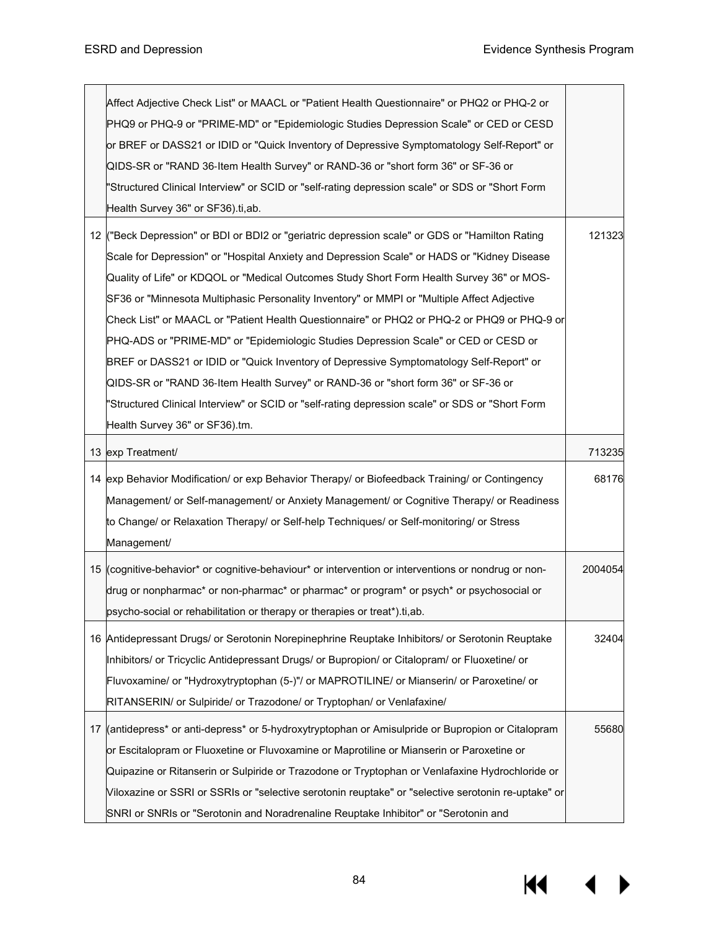| Affect Adjective Check List" or MAACL or "Patient Health Questionnaire" or PHQ2 or PHQ-2 or         |         |
|-----------------------------------------------------------------------------------------------------|---------|
| PHQ9 or PHQ-9 or "PRIME-MD" or "Epidemiologic Studies Depression Scale" or CED or CESD              |         |
| or BREF or DASS21 or IDID or "Quick Inventory of Depressive Symptomatology Self-Report" or          |         |
| QIDS-SR or "RAND 36-Item Health Survey" or RAND-36 or "short form 36" or SF-36 or                   |         |
| 'Structured Clinical Interview" or SCID or "self-rating depression scale" or SDS or "Short Form     |         |
| Health Survey 36" or SF36).ti,ab.                                                                   |         |
| 12 ("Beck Depression" or BDI or BDI2 or "geriatric depression scale" or GDS or "Hamilton Rating     | 121323  |
| Scale for Depression" or "Hospital Anxiety and Depression Scale" or HADS or "Kidney Disease         |         |
|                                                                                                     |         |
| Quality of Life" or KDQOL or "Medical Outcomes Study Short Form Health Survey 36" or MOS-           |         |
| SF36 or "Minnesota Multiphasic Personality Inventory" or MMPI or "Multiple Affect Adjective         |         |
| Check List" or MAACL or "Patient Health Questionnaire" or PHQ2 or PHQ-2 or PHQ9 or PHQ-9 or         |         |
| PHQ-ADS or "PRIME-MD" or "Epidemiologic Studies Depression Scale" or CED or CESD or                 |         |
| BREF or DASS21 or IDID or "Quick Inventory of Depressive Symptomatology Self-Report" or             |         |
| QIDS-SR or "RAND 36-Item Health Survey" or RAND-36 or "short form 36" or SF-36 or                   |         |
| 'Structured Clinical Interview" or SCID or "self-rating depression scale" or SDS or "Short Form     |         |
| Health Survey 36" or SF36).tm.                                                                      |         |
| 13 exp Treatment/                                                                                   | 713235  |
| 14 exp Behavior Modification/ or exp Behavior Therapy/ or Biofeedback Training/ or Contingency      | 68176   |
| Management/ or Self-management/ or Anxiety Management/ or Cognitive Therapy/ or Readiness           |         |
| to Change/ or Relaxation Therapy/ or Self-help Techniques/ or Self-monitoring/ or Stress            |         |
| Management/                                                                                         |         |
| 15 (cognitive-behavior* or cognitive-behaviour* or intervention or interventions or nondrug or non- | 2004054 |
| drug or nonpharmac* or non-pharmac* or pharmac* or program* or psych* or psychosocial or            |         |
| psycho-social or rehabilitation or therapy or therapies or treat*).ti, ab.                          |         |
|                                                                                                     |         |
| 16 Antidepressant Drugs/ or Serotonin Norepinephrine Reuptake Inhibitors/ or Serotonin Reuptake     | 32404   |
| Inhibitors/ or Tricyclic Antidepressant Drugs/ or Bupropion/ or Citalopram/ or Fluoxetine/ or       |         |
| Fluvoxamine/ or "Hydroxytryptophan (5-)"/ or MAPROTILINE/ or Mianserin/ or Paroxetine/ or           |         |
| RITANSERIN/ or Sulpiride/ or Trazodone/ or Tryptophan/ or Venlafaxine/                              |         |
| 17 (antidepress* or anti-depress* or 5-hydroxytryptophan or Amisulpride or Bupropion or Citalopram  | 55680   |
| or Escitalopram or Fluoxetine or Fluvoxamine or Maprotiline or Mianserin or Paroxetine or           |         |
| Quipazine or Ritanserin or Sulpiride or Trazodone or Tryptophan or Venlafaxine Hydrochloride or     |         |
| Viloxazine or SSRI or SSRIs or "selective serotonin reuptake" or "selective serotonin re-uptake" or |         |
| SNRI or SNRIs or "Serotonin and Noradrenaline Reuptake Inhibitor" or "Serotonin and                 |         |

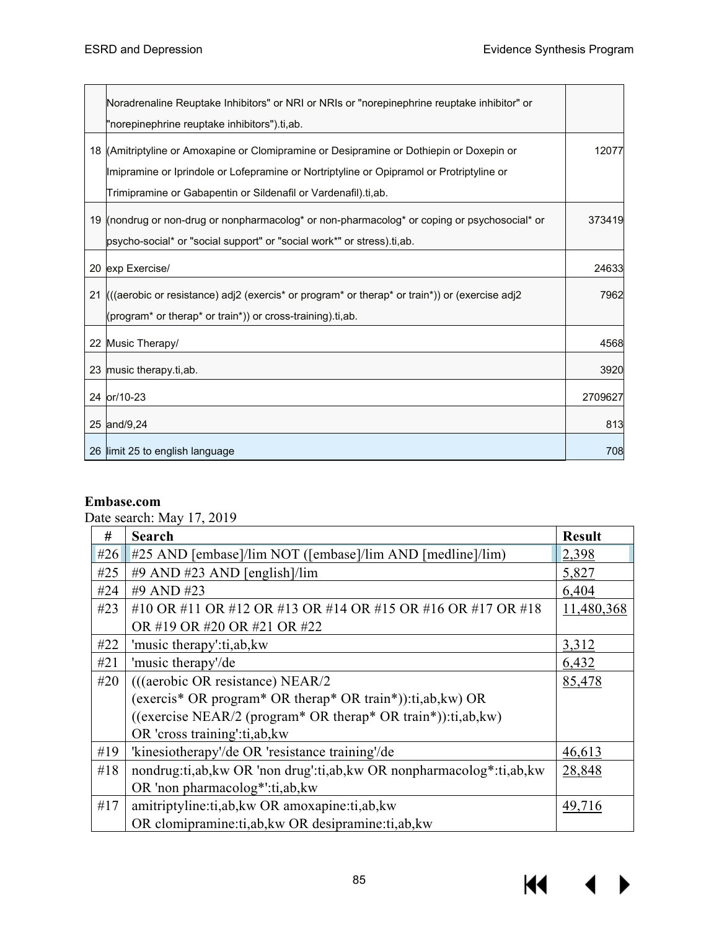|    | Noradrenaline Reuptake Inhibitors" or NRI or NRIs or "norepinephrine reuptake inhibitor" or                                                                 |         |
|----|-------------------------------------------------------------------------------------------------------------------------------------------------------------|---------|
|    | "norepinephrine reuptake inhibitors").ti,ab.                                                                                                                |         |
|    | 18 (Amitriptyline or Amoxapine or Clomipramine or Desipramine or Dothiepin or Doxepin or                                                                    | 12077   |
|    | Imipramine or Iprindole or Lofepramine or Nortriptyline or Opipramol or Protriptyline or                                                                    |         |
|    | Trimipramine or Gabapentin or Sildenafil or Vardenafil).ti,ab.                                                                                              |         |
|    | 19 (nondrug or non-drug or nonpharmacolog* or non-pharmacolog* or coping or psychosocial* or                                                                | 373419  |
|    | psycho-social* or "social support" or "social work*" or stress).ti.ab.                                                                                      |         |
|    | 20 exp Exercise/                                                                                                                                            | 24633   |
| 21 | $\frac{1}{2}$ ((aerobic or resistance) adj2 (exercis <sup>*</sup> or program <sup>*</sup> or therap <sup>*</sup> or train <sup>*</sup> )) or (exercise adj2 | 7962    |
|    | (program <sup>*</sup> or therap <sup>*</sup> or train <sup>*</sup> )) or cross-training).ti,ab.                                                             |         |
|    | 22 Music Therapy/                                                                                                                                           | 4568    |
|    | 23 music therapy ti, ab.                                                                                                                                    | 3920    |
|    | 24 or/10-23                                                                                                                                                 | 2709627 |
|    | 25 and/9,24                                                                                                                                                 | 813     |
|    | 26 limit 25 to english language                                                                                                                             | 708     |

## **Embase.com**

Date search: May 17, 2019

| #   | <b>Search</b>                                                            | <b>Result</b> |
|-----|--------------------------------------------------------------------------|---------------|
| #26 | #25 AND [embase]/lim NOT ([embase]/lim AND [medline]/lim)                | 2,398         |
| #25 | #9 AND #23 AND [english]/lim                                             | 5,827         |
| #24 | #9 AND #23                                                               | 6,404         |
| #23 | #10 OR #11 OR #12 OR #13 OR #14 OR #15 OR #16 OR #17 OR #18              | 11,480,368    |
|     | OR #19 OR #20 OR #21 OR #22                                              |               |
| #22 | 'music therapy':ti,ab, kw                                                | 3,312         |
| #21 | 'music therapy'/de                                                       | 6,432         |
| #20 | (((aerobic OR resistance) NEAR/2                                         | 85,478        |
|     | (exercis* OR program* OR therap* OR train*)):ti,ab,kw) OR                |               |
|     | ((exercise NEAR/2 (program* OR therap* OR train*)): $ti$ , $ab$ , $kw$ ) |               |
|     | OR 'cross training':ti,ab, kw                                            |               |
| #19 | 'kinesiotherapy'/de OR 'resistance training'/de                          | 46,613        |
| #18 | nondrug:ti,ab, kw OR 'non drug':ti,ab, kw OR nonpharmacolog*:ti,ab, kw   | 28,848        |
|     | OR 'non pharmacolog*':ti,ab,kw                                           |               |
| #17 | amitriptyline:ti,ab,kw OR amoxapine:ti,ab,kw                             | 49,716        |
|     | OR clomipramine:ti,ab, kw OR desipramine:ti,ab, kw                       |               |

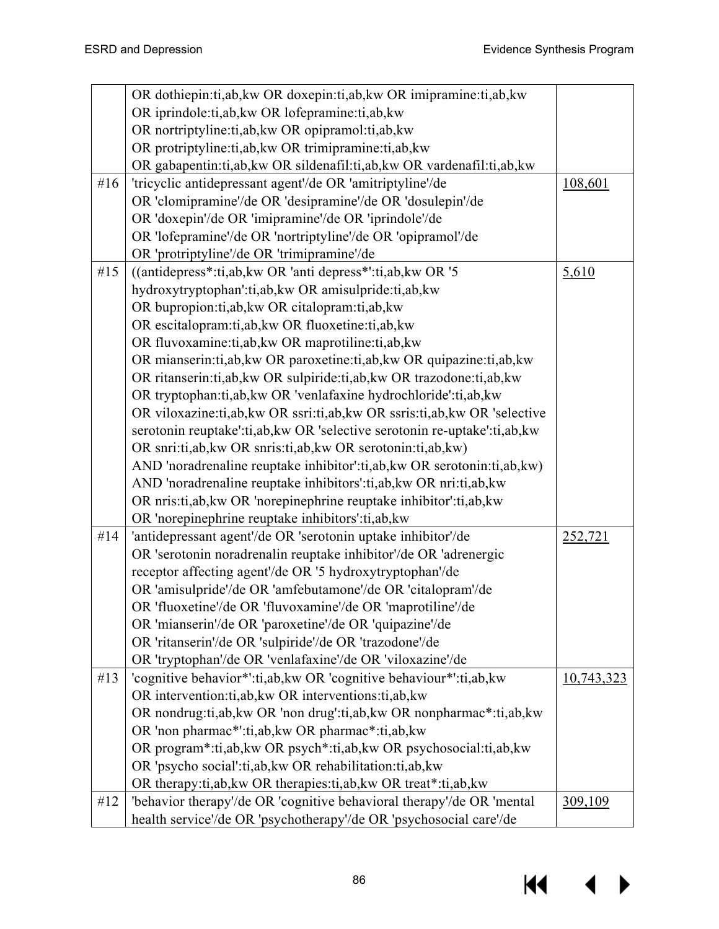|        | OR dothiepin:ti,ab,kw OR doxepin:ti,ab,kw OR imipramine:ti,ab,kw           |            |
|--------|----------------------------------------------------------------------------|------------|
|        | OR iprindole:ti,ab, kw OR lofepramine:ti,ab, kw                            |            |
|        | OR nortriptyline:ti,ab, kw OR opipramol:ti,ab, kw                          |            |
|        | OR protriptyline:ti,ab, kw OR trimipramine:ti,ab, kw                       |            |
|        | OR gabapentin:ti,ab,kw OR sildenafil:ti,ab,kw OR vardenafil:ti,ab,kw       |            |
| #16    | 'tricyclic antidepressant agent'/de OR 'amitriptyline'/de                  | 108,601    |
|        | OR 'clomipramine'/de OR 'desipramine'/de OR 'dosulepin'/de                 |            |
|        | OR 'doxepin'/de OR 'imipramine'/de OR 'iprindole'/de                       |            |
|        | OR 'lofepramine'/de OR 'nortriptyline'/de OR 'opipramol'/de                |            |
|        | OR 'protriptyline'/de OR 'trimipramine'/de                                 |            |
| # $15$ | ((antidepress*:ti,ab, kw OR 'anti depress*':ti,ab, kw OR '5                | 5,610      |
|        | hydroxytryptophan':ti,ab,kw OR amisulpride:ti,ab,kw                        |            |
|        | OR bupropion:ti,ab, kw OR citalopram:ti,ab, kw                             |            |
|        | OR escitalopram:ti,ab, kw OR fluoxetine:ti,ab, kw                          |            |
|        | OR fluvoxamine:ti,ab, kw OR maprotiline:ti,ab, kw                          |            |
|        | OR mianserin:ti,ab, kw OR paroxetine:ti,ab, kw OR quipazine:ti,ab, kw      |            |
|        | OR ritanserin:ti,ab,kw OR sulpiride:ti,ab,kw OR trazodone:ti,ab,kw         |            |
|        | OR tryptophan:ti,ab,kw OR 'venlafaxine hydrochloride':ti,ab,kw             |            |
|        | OR viloxazine:ti,ab, kw OR ssri:ti,ab, kw OR ssris:ti,ab, kw OR 'selective |            |
|        | serotonin reuptake':ti,ab, kw OR 'selective serotonin re-uptake':ti,ab, kw |            |
|        | OR snri:ti,ab,kw OR snris:ti,ab,kw OR serotonin:ti,ab,kw)                  |            |
|        | AND 'noradrenaline reuptake inhibitor':ti,ab, kw OR serotonin:ti,ab, kw)   |            |
|        | AND 'noradrenaline reuptake inhibitors':ti,ab, kw OR nri:ti,ab, kw         |            |
|        | OR nris:ti,ab, kw OR 'norepinephrine reuptake inhibitor':ti,ab, kw         |            |
|        | OR 'norepinephrine reuptake inhibitors':ti,ab,kw                           |            |
| #14    | 'antidepressant agent'/de OR 'serotonin uptake inhibitor'/de               | 252,721    |
|        | OR 'serotonin noradrenalin reuptake inhibitor'/de OR 'adrenergic           |            |
|        | receptor affecting agent'/de OR '5 hydroxytryptophan'/de                   |            |
|        | OR 'amisulpride'/de OR 'amfebutamone'/de OR 'citalopram'/de                |            |
|        | OR 'fluoxetine'/de OR 'fluvoxamine'/de OR 'maprotiline'/de                 |            |
|        | OR 'mianserin'/de OR 'paroxetine'/de OR 'quipazine'/de                     |            |
|        | OR 'ritanserin'/de OR 'sulpiride'/de OR 'trazodone'/de                     |            |
|        | OR 'tryptophan'/de OR 'venlafaxine'/de OR 'viloxazine'/de                  |            |
| #13    | 'cognitive behavior*':ti,ab, kw OR 'cognitive behaviour*':ti,ab, kw        | 10,743,323 |
|        | OR intervention: ti, ab, kw OR interventions: ti, ab, kw                   |            |
|        | OR nondrug:ti,ab, kw OR 'non drug':ti,ab, kw OR nonpharmac*:ti,ab, kw      |            |
|        | OR 'non pharmac*':ti,ab,kw OR pharmac*:ti,ab,kw                            |            |
|        | OR program*:ti,ab,kw OR psych*:ti,ab,kw OR psychosocial:ti,ab,kw           |            |
|        | OR 'psycho social':ti,ab, kw OR rehabilitation:ti,ab, kw                   |            |
|        | OR therapy:ti,ab, kw OR therapies:ti,ab, kw OR treat*:ti,ab, kw            |            |
| #12    | 'behavior therapy'/de OR 'cognitive behavioral therapy'/de OR 'mental      | 309,109    |
|        | health service'/de OR 'psychotherapy'/de OR 'psychosocial care'/de         |            |

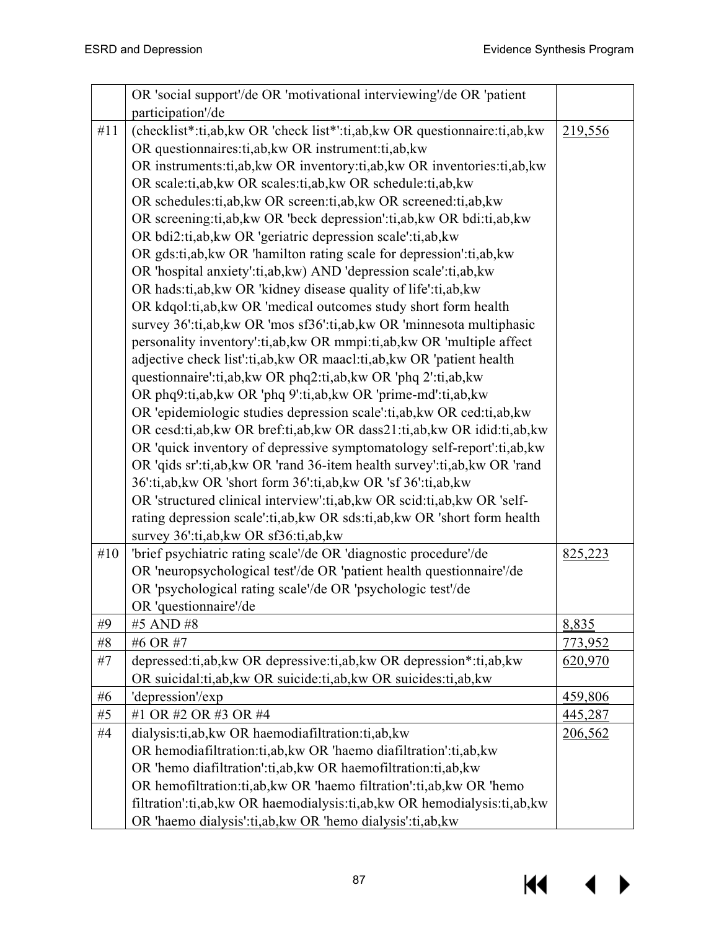$M \rightarrow$ 

|     | OR 'social support'/de OR 'motivational interviewing'/de OR 'patient       |                |
|-----|----------------------------------------------------------------------------|----------------|
|     | participation'/de                                                          |                |
| #11 | (checklist*:ti,ab,kw OR 'check list*':ti,ab,kw OR questionnaire:ti,ab,kw   | 219,556        |
|     | OR questionnaires: ti, ab, kw OR instrument: ti, ab, kw                    |                |
|     | OR instruments:ti,ab, kw OR inventory:ti,ab, kw OR inventories:ti,ab, kw   |                |
|     | OR scale:ti,ab, kw OR scales:ti,ab, kw OR schedule:ti,ab, kw               |                |
|     | OR schedules:ti,ab, kw OR screen:ti,ab, kw OR screened:ti,ab, kw           |                |
|     | OR screening:ti,ab, kw OR 'beck depression':ti,ab, kw OR bdi:ti,ab, kw     |                |
|     | OR bdi2:ti,ab,kw OR 'geriatric depression scale':ti,ab,kw                  |                |
|     | OR gds:ti,ab, kw OR 'hamilton rating scale for depression':ti,ab, kw       |                |
|     | OR 'hospital anxiety':ti,ab,kw) AND 'depression scale':ti,ab,kw            |                |
|     | OR hads:ti,ab, kw OR 'kidney disease quality of life':ti,ab, kw            |                |
|     | OR kdqol:ti,ab,kw OR 'medical outcomes study short form health             |                |
|     | survey 36':ti,ab, kw OR 'mos sf36':ti,ab, kw OR 'minnesota multiphasic     |                |
|     | personality inventory':ti,ab, kw OR mmpi:ti,ab, kw OR 'multiple affect     |                |
|     | adjective check list':ti,ab, kw OR maacl:ti,ab, kw OR 'patient health      |                |
|     | questionnaire':ti,ab,kw OR phq2:ti,ab,kw OR 'phq 2':ti,ab,kw               |                |
|     | OR phq9:ti,ab,kw OR 'phq 9':ti,ab,kw OR 'prime-md':ti,ab,kw                |                |
|     | OR 'epidemiologic studies depression scale':ti,ab, kw OR ced:ti,ab, kw     |                |
|     | OR cesd:ti,ab,kw OR bref:ti,ab,kw OR dass21:ti,ab,kw OR idid:ti,ab,kw      |                |
|     | OR 'quick inventory of depressive symptomatology self-report':ti,ab, kw    |                |
|     | OR 'qids sr':ti,ab, kw OR 'rand 36-item health survey':ti,ab, kw OR 'rand  |                |
|     | 36':ti,ab,kw OR 'short form 36':ti,ab,kw OR 'sf 36':ti,ab,kw               |                |
|     | OR 'structured clinical interview':ti,ab, kw OR scid:ti,ab, kw OR 'self-   |                |
|     | rating depression scale':ti,ab, kw OR sds:ti,ab, kw OR 'short form health  |                |
|     | survey 36':ti,ab, kw OR sf36:ti,ab, kw                                     |                |
| #10 | 'brief psychiatric rating scale'/de OR 'diagnostic procedure'/de           | 825,223        |
|     | OR 'neuropsychological test'/de OR 'patient health questionnaire'/de       |                |
|     | OR 'psychological rating scale'/de OR 'psychologic test'/de                |                |
|     | OR 'questionnaire'/de                                                      |                |
| #9  | #5 AND #8                                                                  | 8,835          |
| #8  | #6 OR #7                                                                   | <u>773,952</u> |
| #7  | depressed:ti,ab,kw OR depressive:ti,ab,kw OR depression*:ti,ab,kw          | 620,970        |
|     | OR suicidal:ti,ab, kw OR suicide:ti,ab, kw OR suicides:ti,ab, kw           |                |
| #6  | 'depression'/exp                                                           | 459,806        |
| #5  | #1 OR #2 OR #3 OR #4                                                       | 445,287        |
| #4  | dialysis:ti,ab, kw OR haemodiafiltration:ti,ab, kw                         | 206,562        |
|     | OR hemodiafiltration:ti,ab,kw OR 'haemo diafiltration':ti,ab,kw            |                |
|     | OR 'hemo diafiltration':ti,ab, kw OR haemofiltration:ti,ab, kw             |                |
|     | OR hemofiltration:ti,ab, kw OR 'haemo filtration':ti,ab, kw OR 'hemo       |                |
|     | filtration':ti,ab, kw OR haemodialysis:ti,ab, kw OR hemodialysis:ti,ab, kw |                |
|     | OR 'haemo dialysis':ti,ab, kw OR 'hemo dialysis':ti,ab, kw                 |                |

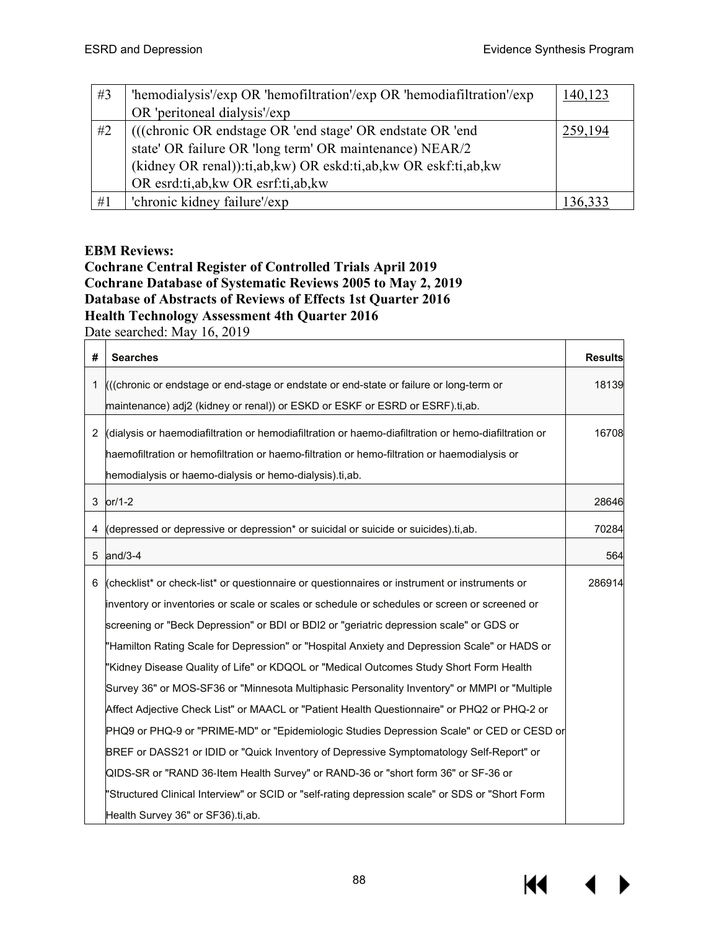| #3 | 'hemodialysis'/exp OR 'hemofiltration'/exp OR 'hemodiafiltration'/exp | 140,123 |
|----|-----------------------------------------------------------------------|---------|
|    | OR 'peritoneal dialysis'/exp                                          |         |
| #2 | (((chronic OR endstage OR 'end stage' OR endstate OR 'end             | 259,194 |
|    | state' OR failure OR 'long term' OR maintenance) NEAR/2               |         |
|    | (kidney OR renal)):ti,ab,kw) OR eskd:ti,ab,kw OR eskf:ti,ab,kw        |         |
|    | OR esrd:ti,ab, kw OR esrf:ti,ab, kw                                   |         |
| #1 | 'chronic kidney failure'/exp                                          |         |

### **EBM Reviews:**

## **Cochrane Central Register of Controlled Trials April 2019 Cochrane Database of Systematic Reviews 2005 to May 2, 2019 Database of Abstracts of Reviews of Effects 1st Quarter 2016 Health Technology Assessment 4th Quarter 2016**

Date searched: May 16, 2019

| 2017           |                                                                                                      |                |  |
|----------------|------------------------------------------------------------------------------------------------------|----------------|--|
| #              | <b>Searches</b>                                                                                      | <b>Results</b> |  |
| 1              | (((chronic or endstage or end-stage or endstate or end-state or failure or long-term or              | 18139          |  |
|                | maintenance) adj2 (kidney or renal)) or ESKD or ESKF or ESRD or ESRF).ti,ab.                         |                |  |
| $\overline{2}$ | (dialysis or haemodiafiltration or hemodiafiltration or haemo-diafiltration or hemo-diafiltration or | 16708          |  |
|                | haemofiltration or hemofiltration or haemo-filtration or hemo-filtration or haemodialysis or         |                |  |
|                | hemodialysis or haemo-dialysis or hemo-dialysis).ti,ab.                                              |                |  |
| $\mathfrak{S}$ | $or/1-2$                                                                                             | 28646          |  |
| 4              | (depressed or depressive or depression* or suicidal or suicide or suicides).ti,ab.                   | 70284          |  |
| 5              | and/3-4                                                                                              | 564            |  |
| 6              | (checklist* or check-list* or questionnaire or questionnaires or instrument or instruments or        | 286914         |  |
|                | inventory or inventories or scale or scales or schedule or schedules or screen or screened or        |                |  |
|                | screening or "Beck Depression" or BDI or BDI2 or "geriatric depression scale" or GDS or              |                |  |
|                | "Hamilton Rating Scale for Depression" or "Hospital Anxiety and Depression Scale" or HADS or         |                |  |
|                | "Kidney Disease Quality of Life" or KDQOL or "Medical Outcomes Study Short Form Health               |                |  |
|                | Survey 36" or MOS-SF36 or "Minnesota Multiphasic Personality Inventory" or MMPI or "Multiple         |                |  |
|                | Affect Adjective Check List" or MAACL or "Patient Health Questionnaire" or PHQ2 or PHQ-2 or          |                |  |
|                | PHQ9 or PHQ-9 or "PRIME-MD" or "Epidemiologic Studies Depression Scale" or CED or CESD or            |                |  |
|                | BREF or DASS21 or IDID or "Quick Inventory of Depressive Symptomatology Self-Report" or              |                |  |
|                | QIDS-SR or "RAND 36-Item Health Survey" or RAND-36 or "short form 36" or SF-36 or                    |                |  |
|                | "Structured Clinical Interview" or SCID or "self-rating depression scale" or SDS or "Short Form      |                |  |
|                | Health Survey 36" or SF36).ti, ab.                                                                   |                |  |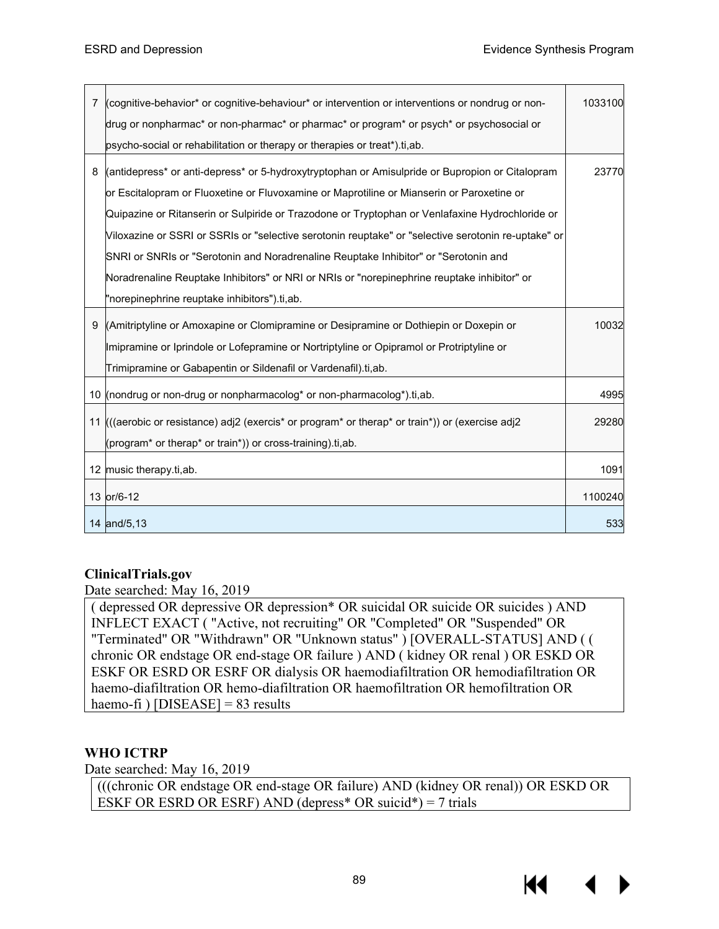$\overline{\phantom{a}}$ 

| 7 | (cognitive-behavior* or cognitive-behaviour* or intervention or interventions or nondrug or non-    | 1033100 |
|---|-----------------------------------------------------------------------------------------------------|---------|
|   | drug or nonpharmac* or non-pharmac* or pharmac* or program* or psych* or psychosocial or            |         |
|   | psycho-social or rehabilitation or therapy or therapies or treat*).ti, ab.                          |         |
| 8 | (antidepress* or anti-depress* or 5-hydroxytryptophan or Amisulpride or Bupropion or Citalopram     | 23770   |
|   | or Escitalopram or Fluoxetine or Fluvoxamine or Maprotiline or Mianserin or Paroxetine or           |         |
|   | Quipazine or Ritanserin or Sulpiride or Trazodone or Tryptophan or Venlafaxine Hydrochloride or     |         |
|   | Viloxazine or SSRI or SSRIs or "selective serotonin reuptake" or "selective serotonin re-uptake" or |         |
|   | SNRI or SNRIs or "Serotonin and Noradrenaline Reuptake Inhibitor" or "Serotonin and                 |         |
|   | Noradrenaline Reuptake Inhibitors" or NRI or NRIs or "norepinephrine reuptake inhibitor" or         |         |
|   | "norepinephrine reuptake inhibitors").ti,ab.                                                        |         |
| 9 | (Amitriptyline or Amoxapine or Clomipramine or Desipramine or Dothiepin or Doxepin or               | 10032   |
|   | Imipramine or Iprindole or Lofepramine or Nortriptyline or Opipramol or Protriptyline or            |         |
|   | Trimipramine or Gabapentin or Sildenafil or Vardenafil).ti,ab.                                      |         |
|   | 10 (nondrug or non-drug or nonpharmacolog* or non-pharmacolog*).ti,ab.                              | 4995    |
|   | 11 (((aerobic or resistance) adj2 (exercis* or program* or therap* or train*)) or (exercise adj2    | 29280   |
|   | (program <sup>*</sup> or therap <sup>*</sup> or train <sup>*</sup> )) or cross-training).ti,ab.     |         |
|   | 12 music therapy.ti, ab.                                                                            | 1091    |
|   | 13 or/6-12                                                                                          | 1100240 |
|   | 14 and/5,13                                                                                         | 533     |

## **ClinicalTrials.gov**

Date searched: May 16, 2019

( depressed OR depressive OR depression\* OR suicidal OR suicide OR suicides ) AND INFLECT EXACT ( "Active, not recruiting" OR "Completed" OR "Suspended" OR "Terminated" OR "Withdrawn" OR "Unknown status" ) [OVERALL-STATUS] AND ( ( chronic OR endstage OR end-stage OR failure ) AND ( kidney OR renal ) OR ESKD OR ESKF OR ESRD OR ESRF OR dialysis OR haemodiafiltration OR hemodiafiltration OR haemo-diafiltration OR hemo-diafiltration OR haemofiltration OR hemofiltration OR haemo-fi ) [DISEASE]  $= 83$  results

## **WHO ICTRP**

Date searched: May 16, 2019

(((chronic OR endstage OR end-stage OR failure) AND (kidney OR renal)) OR ESKD OR ESKF OR ESRD OR ESRF) AND (depress<sup>\*</sup> OR suicid<sup>\*</sup>) = 7 trials

Кŧ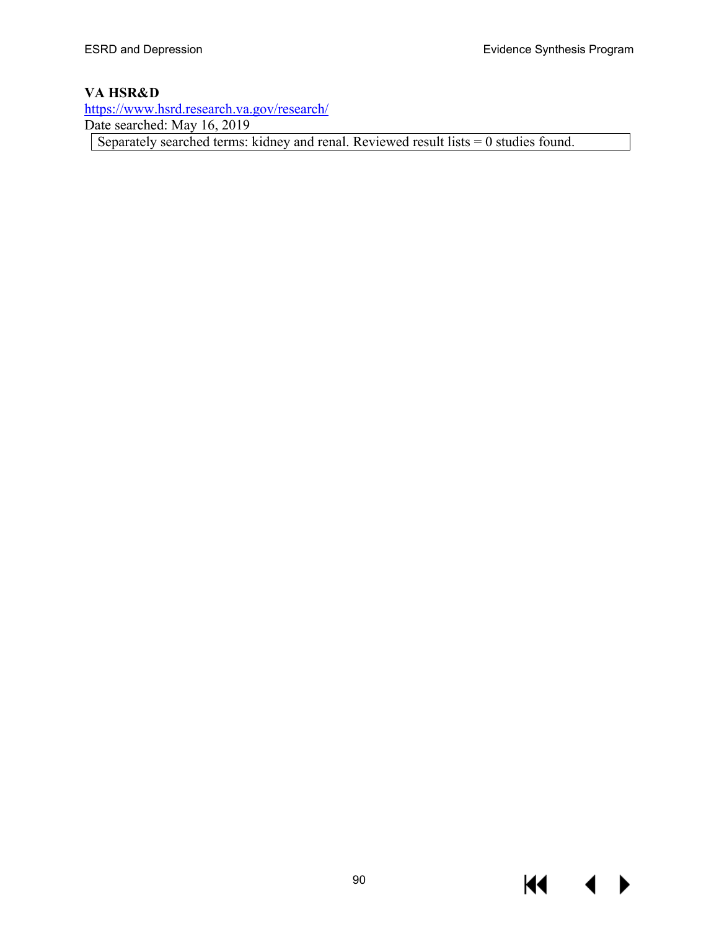$\blacklozenge$ 

▶

**KK** 

## **VA HSR&D**

<https://www.hsrd.research.va.gov/research/> Date searched: May 16, 2019 Separately searched terms: kidney and renal. Reviewed result lists = 0 studies found.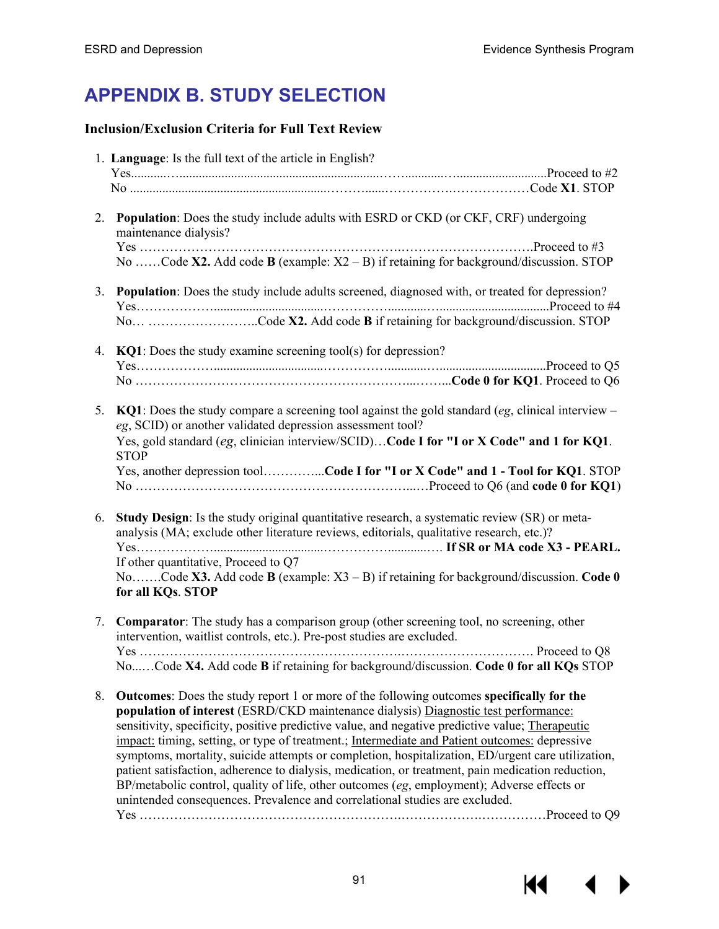# **APPENDIX B. STUDY SELECTION**

## **Inclusion/Exclusion Criteria for Full Text Review**

|    | 1. Language: Is the full text of the article in English?                                                                                                                                                                                                                                                                                                                                                                                                                                                                                                                                                                                                                                                                                                                          |
|----|-----------------------------------------------------------------------------------------------------------------------------------------------------------------------------------------------------------------------------------------------------------------------------------------------------------------------------------------------------------------------------------------------------------------------------------------------------------------------------------------------------------------------------------------------------------------------------------------------------------------------------------------------------------------------------------------------------------------------------------------------------------------------------------|
|    |                                                                                                                                                                                                                                                                                                                                                                                                                                                                                                                                                                                                                                                                                                                                                                                   |
| 2. | <b>Population:</b> Does the study include adults with ESRD or CKD (or CKF, CRF) undergoing<br>maintenance dialysis?<br>No Code X2. Add code B (example: $X2 - B$ ) if retaining for background/discussion. STOP                                                                                                                                                                                                                                                                                                                                                                                                                                                                                                                                                                   |
|    | 3. Population: Does the study include adults screened, diagnosed with, or treated for depression?                                                                                                                                                                                                                                                                                                                                                                                                                                                                                                                                                                                                                                                                                 |
|    | No Code X2. Add code B if retaining for background/discussion. STOP<br>4. KQ1: Does the study examine screening tool(s) for depression?                                                                                                                                                                                                                                                                                                                                                                                                                                                                                                                                                                                                                                           |
|    |                                                                                                                                                                                                                                                                                                                                                                                                                                                                                                                                                                                                                                                                                                                                                                                   |
| 5. | $KQ1$ : Does the study compare a screening tool against the gold standard (eg, clinical interview –<br>eg, SCID) or another validated depression assessment tool?<br>Yes, gold standard (eg, clinician interview/SCID)Code I for "I or X Code" and 1 for KQ1.<br><b>STOP</b>                                                                                                                                                                                                                                                                                                                                                                                                                                                                                                      |
|    | Yes, another depression toolCode I for "I or X Code" and 1 - Tool for KQ1. STOP                                                                                                                                                                                                                                                                                                                                                                                                                                                                                                                                                                                                                                                                                                   |
| 6. | <b>Study Design:</b> Is the study original quantitative research, a systematic review (SR) or meta-<br>analysis (MA; exclude other literature reviews, editorials, qualitative research, etc.)?<br>If other quantitative, Proceed to Q7<br>NoCode X3. Add code B (example: $X3 - B$ ) if retaining for background/discussion. Code 0                                                                                                                                                                                                                                                                                                                                                                                                                                              |
|    | for all KQs. STOP                                                                                                                                                                                                                                                                                                                                                                                                                                                                                                                                                                                                                                                                                                                                                                 |
| 7. | <b>Comparator:</b> The study has a comparison group (other screening tool, no screening, other<br>intervention, waitlist controls, etc.). Pre-post studies are excluded.<br>NoCode X4. Add code B if retaining for background/discussion. Code 0 for all KQs STOP                                                                                                                                                                                                                                                                                                                                                                                                                                                                                                                 |
| 8. | <b>Outcomes:</b> Does the study report 1 or more of the following outcomes specifically for the<br>population of interest (ESRD/CKD maintenance dialysis) Diagnostic test performance:<br>sensitivity, specificity, positive predictive value, and negative predictive value; Therapeutic<br>impact: timing, setting, or type of treatment.; Intermediate and Patient outcomes: depressive<br>symptoms, mortality, suicide attempts or completion, hospitalization, ED/urgent care utilization,<br>patient satisfaction, adherence to dialysis, medication, or treatment, pain medication reduction,<br>BP/metabolic control, quality of life, other outcomes (eg, employment); Adverse effects or<br>unintended consequences. Prevalence and correlational studies are excluded. |

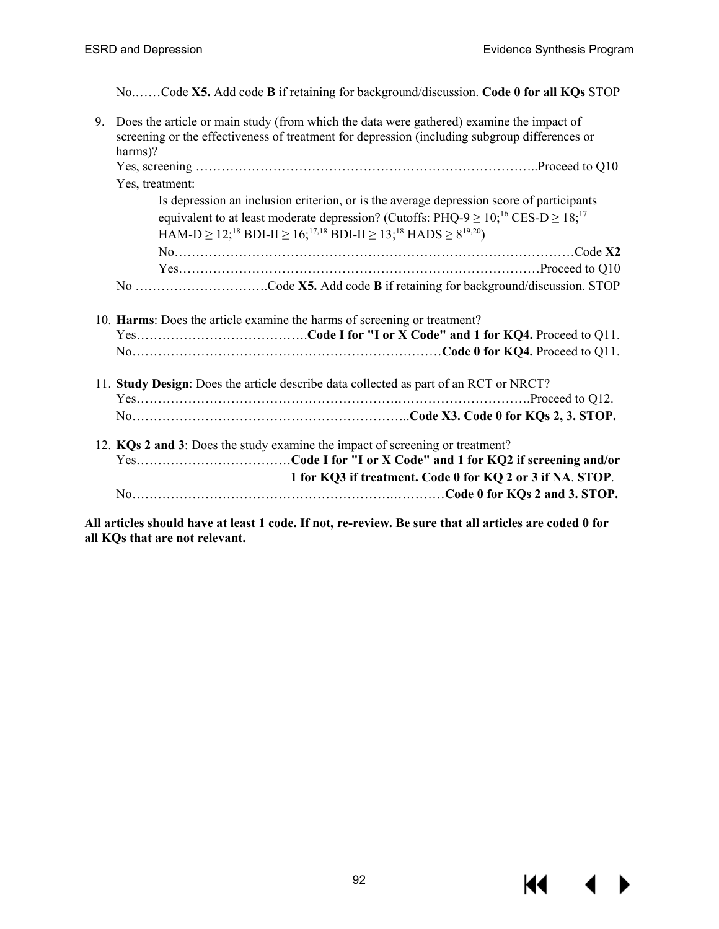$M \rightarrow$ 

No.……Code **X5.** Add code **B** if retaining for background/discussion. **Code 0 for all KQs** STOP

| 9. | Does the article or main study (from which the data were gathered) examine the impact of<br>screening or the effectiveness of treatment for depression (including subgroup differences or<br>harms)? |
|----|------------------------------------------------------------------------------------------------------------------------------------------------------------------------------------------------------|
|    |                                                                                                                                                                                                      |
|    | Yes, treatment:                                                                                                                                                                                      |
|    | Is depression an inclusion criterion, or is the average depression score of participants                                                                                                             |
|    | equivalent to at least moderate depression? (Cutoffs: PHQ-9 $\geq$ 10; <sup>16</sup> CES-D $\geq$ 18; <sup>17</sup>                                                                                  |
|    | HAM-D $\geq 12$ <sup>18</sup> , BDI-II $\geq 16$ <sup>17,18</sup> BDI-II $\geq 13$ <sup>18</sup> HADS $\geq 8^{19,20}$ )                                                                             |
|    |                                                                                                                                                                                                      |
|    |                                                                                                                                                                                                      |
|    |                                                                                                                                                                                                      |
|    | 10. Harms: Does the article examine the harms of screening or treatment?                                                                                                                             |
|    | 11. Study Design: Does the article describe data collected as part of an RCT or NRCT?                                                                                                                |
|    |                                                                                                                                                                                                      |
|    |                                                                                                                                                                                                      |
|    | 12. KQs 2 and 3: Does the study examine the impact of screening or treatment?<br>1 for KQ3 if treatment. Code 0 for KQ 2 or 3 if NA. STOP.                                                           |
|    |                                                                                                                                                                                                      |

**All articles should have at least 1 code. If not, re-review. Be sure that all articles are coded 0 for all KQs that are not relevant.**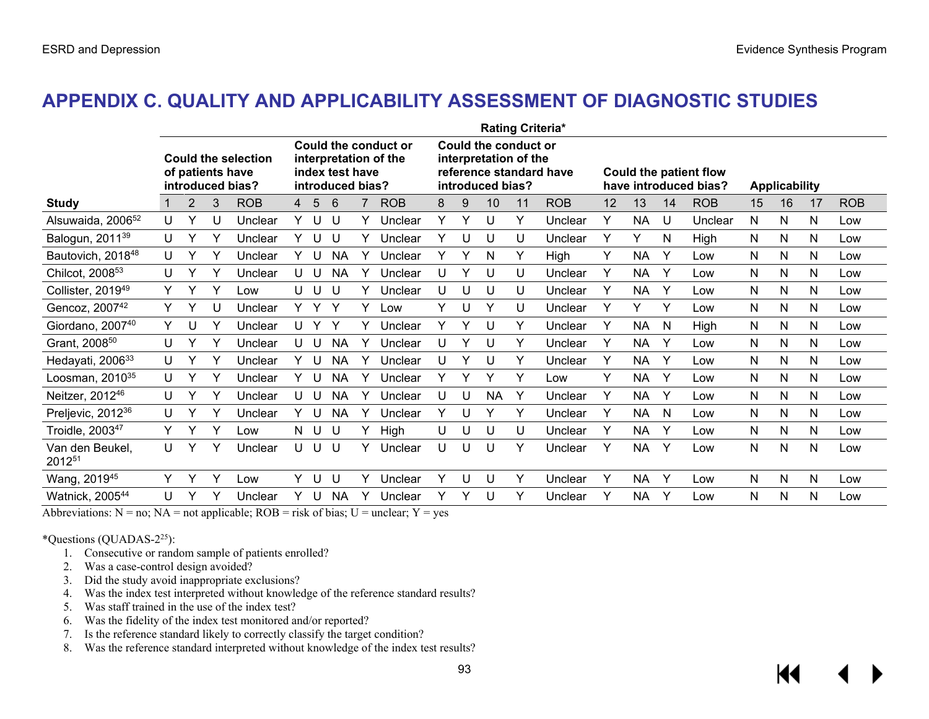## **APPENDIX C. QUALITY AND APPLICABILITY ASSESSMENT OF DIAGNOSTIC STUDIES**

|                               | <b>Rating Criteria*</b> |   |   |                                                                    |    |     |                                     |   |                                               |   |   |                                                                   |    |                         |    |           |    |                                                        |    |                      |              |            |
|-------------------------------|-------------------------|---|---|--------------------------------------------------------------------|----|-----|-------------------------------------|---|-----------------------------------------------|---|---|-------------------------------------------------------------------|----|-------------------------|----|-----------|----|--------------------------------------------------------|----|----------------------|--------------|------------|
|                               |                         |   |   | <b>Could the selection</b><br>of patients have<br>introduced bias? |    |     | index test have<br>introduced bias? |   | Could the conduct or<br>interpretation of the |   |   | Could the conduct or<br>interpretation of the<br>introduced bias? |    | reference standard have |    |           |    | <b>Could the patient flow</b><br>have introduced bias? |    | <b>Applicability</b> |              |            |
| <b>Study</b>                  |                         | 2 | 3 | <b>ROB</b>                                                         | 4  | 5   | 6                                   |   | <b>ROB</b>                                    | 8 | 9 | 10                                                                | 11 | <b>ROB</b>              | 12 | 13        | 14 | <b>ROB</b>                                             | 15 | 16                   | 17           | <b>ROB</b> |
| Alsuwaida, 2006 <sup>52</sup> | U                       | Υ |   | Unclear                                                            | Y  | U   | IJ                                  |   | Unclear                                       | Y | v | U                                                                 | Y  | Unclear                 | Y  | <b>NA</b> | U  | Unclear                                                | N  | N                    | N            | Low        |
| Balogun, 2011 <sup>39</sup>   | U                       |   |   | Unclear                                                            | Y. |     | U                                   |   | Unclear                                       | Υ | U | U                                                                 | U  | Unclear                 | Y  | Υ         | N  | High                                                   | N  | N                    | $\mathsf{N}$ | Low        |
| Bautovich, 2018 <sup>48</sup> | U                       |   | Υ | Unclear                                                            | Y. | -U  | <b>NA</b>                           |   | Unclear                                       | Y | Y | N                                                                 | Y  | High                    | Y  | <b>NA</b> | Y  | Low                                                    | N  | N                    | N            | Low        |
| Chilcot, 2008 <sup>53</sup>   | U                       |   |   | Unclear                                                            | U  | -U  | <b>NA</b>                           |   | Unclear                                       | U | v | U                                                                 | U  | Unclear                 | Y  | <b>NA</b> | Y  | Low                                                    | N  | N                    | N            | Low        |
| Collister, 2019 <sup>49</sup> | Y                       |   | Υ | Low                                                                |    | UU  | U                                   |   | Unclear                                       | U | U | U                                                                 | U  | Unclear                 | Y  | <b>NA</b> | Y  | Low                                                    | N  | N                    | N            | Low        |
| Gencoz, 2007 <sup>42</sup>    | Y                       |   |   | Unclear                                                            | Y. |     | Y                                   | ٧ | ∟ow                                           | Y | U | ٧                                                                 | U  | Unclear                 | Y  | Y         | Y  | Low                                                    | N  | N                    | N            | Low        |
| Giordano, 200740              | Y                       | U | Υ | Unclear                                                            | U  |     | Y                                   |   | Unclear                                       | Υ | Υ | U                                                                 | Y  | Unclear                 | Y  | <b>NA</b> | N  | High                                                   | N  | N                    | N            | Low        |
| Grant, 2008 <sup>50</sup>     | U                       |   | Υ | Unclear                                                            |    | UU  | <b>NA</b>                           |   | Unclear                                       | U | Y | U                                                                 | Y  | Unclear                 | Y  | <b>NA</b> | Y  | Low                                                    | N  | N                    | N            | Low        |
| Hedayati, 2006 <sup>33</sup>  | U                       |   | ٧ | Unclear                                                            | Y  |     | <b>NA</b>                           |   | Unclear                                       | U | v | U                                                                 | Y  | Unclear                 | Y  | <b>NA</b> | Y  | Low                                                    | N  | N                    | N            | Low        |
| Loosman, 2010 <sup>35</sup>   | U                       |   | Y | Unclear                                                            | Y. | U   | <b>NA</b>                           |   | Unclear                                       | Υ | Y | ٧                                                                 | Y  | Low                     | Y  | <b>NA</b> | Y  | Low                                                    | N  | N                    | N            | Low        |
| Neitzer, 2012 <sup>46</sup>   | U                       |   | Y | Unclear                                                            | U  | -U  | <b>NA</b>                           |   | Unclear                                       | U | U | <b>NA</b>                                                         | Υ  | Unclear                 | Y  | <b>NA</b> | Y  | Low                                                    | N  | N                    | N            | Low        |
| Preljevic, 2012 <sup>36</sup> | U                       |   |   | Unclear                                                            | Y  |     | <b>NA</b>                           |   | Unclear                                       | Y | U |                                                                   | Y  | Unclear                 | Y  | <b>NA</b> | N  | Low                                                    | N  | N                    | N            | Low        |
| Troidle, 2003 <sup>47</sup>   | Y                       | Y | Y | Low                                                                |    | N U | U                                   | Y | High                                          | U | U | U                                                                 | U  | Unclear                 | Y  | NA.       | Y  | Low                                                    | N  | N                    | N            | Low        |
| Van den Beukel,<br>201251     | U                       |   | Υ | Unclear                                                            | U  | U   | U                                   |   | Unclear                                       | U | U | U                                                                 | Y  | Unclear                 | Y  | <b>NA</b> | Y  | Low                                                    | N  | N                    | N            | Low        |
| Wang, 2019 <sup>45</sup>      | Y                       | Υ | Υ | Low                                                                | Y. | - U | U                                   |   | Unclear                                       | Y | U | U                                                                 | Y  | Unclear                 | Y  | <b>NA</b> | Y  | Low                                                    | N  | N                    | N            | Low        |
| Watnick, 200544               | U                       |   | ٧ | Unclear                                                            | Y  |     | NA                                  |   | Unclear                                       | Y | Y | U                                                                 | Y  | Unclear                 | Y  | <b>NA</b> | Y  | Low                                                    | N  | N                    | N            | Low        |

Abbreviations:  $N = no$ ;  $NA = not$  applicable;  $ROB = risk$  of bias;  $U = unclear$ ;  $Y = yes$ 

\*Questions (QUADAS- $2^{25}$ ):

- 1. Consecutive or random sample of patients enrolled?
- 2. Was a case-control design avoided?
- 3. Did the study avoid inappropriate exclusions?
- 4. Was the index test interpreted without knowledge of the reference standard results?
- 5. Was staff trained in the use of the index test?
- 6. Was the fidelity of the index test monitored and/or reported?
- 7. Is the reference standard likely to correctly classify the target condition?
- 8. Was the reference standard interpreted without knowledge of the index test results?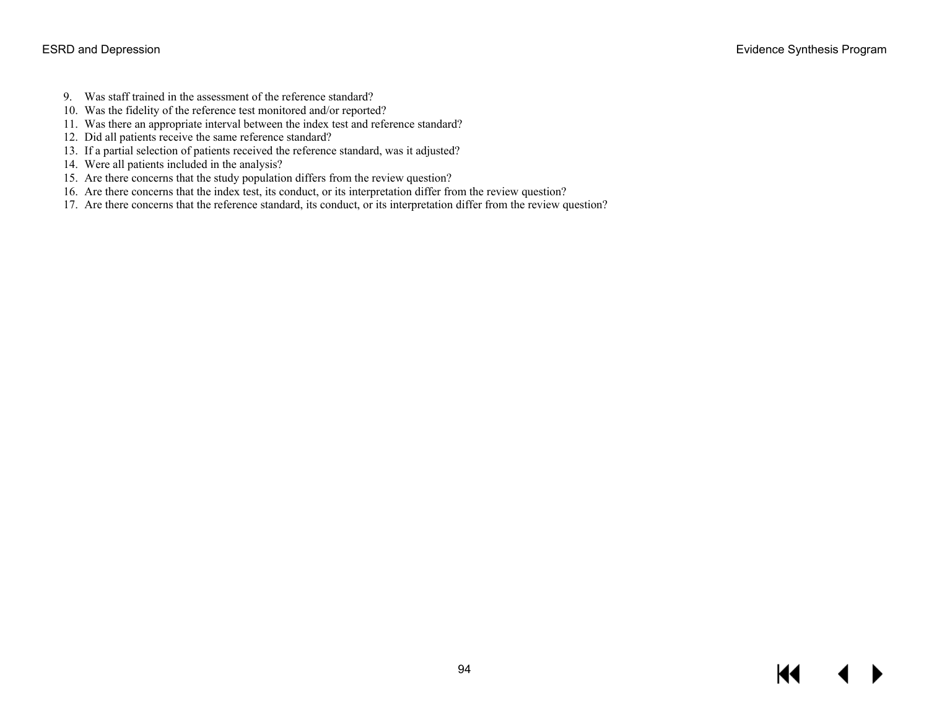- 9. Was staff trained in the assessment of the reference standard?
- 10. Was the fidelity of the reference test monitored and/or reported?
- 11. Was there an appropriate interval between the index test and reference standard?
- 12. Did all patients receive the same reference standard?
- 13. If a partial selection of patients received the reference standard, was it adjusted?
- 14. Were all patients included in the analysis?
- 15. Are there concerns that the study population differs from the review question?
- 16. Are there concerns that the index test, its conduct, or its interpretation differ from the review question?
- 17. Are there concerns that the reference standard, its conduct, or its interpretation differ from the review question?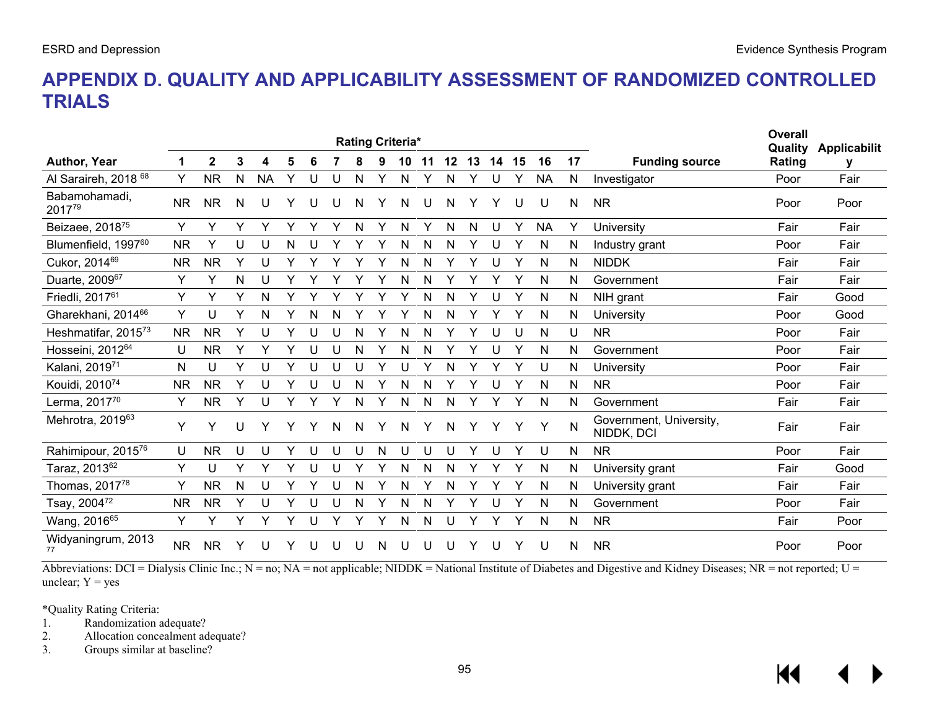## **APPENDIX D. QUALITY AND APPLICABILITY ASSESSMENT OF RANDOMIZED CONTROLLED TRIALS**

| <b>Rating Criteria*</b>         |           |              |   |           |   |   |   | <b>Overall</b><br>Quality | <b>Applicabilit</b> |    |    |         |    |       |   |              |    |                                       |        |      |
|---------------------------------|-----------|--------------|---|-----------|---|---|---|---------------------------|---------------------|----|----|---------|----|-------|---|--------------|----|---------------------------------------|--------|------|
| Author, Year                    | 1         | $\mathbf{2}$ | 3 | 4         | 5 | 6 |   | 8                         | 9                   | 10 | 11 | $12 \,$ | 13 | 14 15 |   | 16           | 17 | <b>Funding source</b>                 | Rating | У    |
| Al Saraireh, 2018 <sup>68</sup> | Y         | <b>NR</b>    | N | <b>NA</b> | Υ | U | U | N                         | Y                   | N  | Υ  | N       | Υ  | U     | Y | <b>NA</b>    | N  | Investigator                          | Poor   | Fair |
| Babamohamadi,<br>201779         | <b>NR</b> | <b>NR</b>    | N |           |   | U | U | N                         | Y                   | N  | U  | N       |    | Υ     | U | U            | N  | <b>NR</b>                             | Poor   | Poor |
| Beizaee, 201875                 | Y         | Y            | Υ | Y         | Y | Y | Y | N                         | Y                   | N  | Υ  | N       | N  | U     | v | <b>NA</b>    | Y  | University                            | Fair   | Fair |
| Blumenfield, 199760             | <b>NR</b> | Y            | U | U         | N |   |   |                           | Y                   | N  | N  | N       | Y  | U     |   | N            | N  | Industry grant                        | Poor   | Fair |
| Cukor, 2014 <sup>69</sup>       | <b>NR</b> | <b>NR</b>    | Υ | U         |   |   |   |                           |                     | Ν  | N  |         | Y  | U     | Υ | $\mathsf{N}$ | N  | <b>NIDDK</b>                          | Fair   | Fair |
| Duarte, 200967                  | Y         | Υ            | N | U         | Y |   |   |                           |                     | Ν  | N  |         |    |       | ٧ | N            | N  | Government                            | Fair   | Fair |
| Friedli, 2017 <sup>61</sup>     | Υ         | Y            | Υ | N         |   |   |   |                           |                     |    | N  | N       |    | U     |   | N            | N  | NIH grant                             | Fair   | Good |
| Gharekhani, 2014 <sup>66</sup>  | Y         | U            | Y | N         |   | N | N |                           |                     |    | N  | N       |    |       |   | N            | N  | University                            | Poor   | Good |
| Heshmatifar, 2015 <sup>73</sup> | <b>NR</b> | <b>NR</b>    | Y |           |   | U | U | N                         |                     |    |    |         |    | U     | U | N            | U  | <b>NR</b>                             | Poor   | Fair |
| Hosseini, 2012 <sup>64</sup>    | U         | <b>NR</b>    | Y |           | Y | U | U | N                         |                     | N  | N  | Y       | Y  | U     | Υ | $\mathsf{N}$ | N  | Government                            | Poor   | Fair |
| Kalani, 201971                  | N         | U            | Y |           | Y |   | U |                           | Y                   |    |    | N       |    |       |   | U            | N  | University                            | Poor   | Fair |
| Kouidi, 2010 <sup>74</sup>      | <b>NR</b> | <b>NR</b>    | Y |           | Y | U | U | N                         | Y                   | N  | N  |         | Y  | U     |   | N            | N  | <b>NR</b>                             | Poor   | Fair |
| Lerma, 201770                   | Y         | <b>NR</b>    | Y | U         | Y | Y | Y | N                         | Y                   | N  | N  | N       | Y  | Y     |   | N            | N  | Government                            | Fair   | Fair |
| Mehrotra, 201963                | Y         | Y            | U |           |   | Y | N | N                         | Υ                   | N  | Y  | N       |    | Y     | Υ |              | N  | Government, University,<br>NIDDK, DCI | Fair   | Fair |
| Rahimipour, 201576              | U         | <b>NR</b>    | U | U         | Y | U | U | U                         | N                   | U  | U  | U       | Y  | U     | Υ | U            | N  | <b>NR</b>                             | Poor   | Fair |
| Taraz, 2013 <sup>62</sup>       | Y         | U            | Y | Υ         | Y | U | U |                           | Y                   | N  | N  | N       |    |       | Υ | N            | N  | University grant                      | Fair   | Good |
| Thomas, 201778                  | Y         | <b>NR</b>    | N | U         | Y | Y | U | N                         | Υ                   | N  | Y  | N       | Υ  | Υ     | Υ | N            | N  | University grant                      | Fair   | Fair |
| Tsay, 200472                    | NR.       | <b>NR</b>    | Y | U         | Y | U | U | N                         |                     | N  | N  |         |    | U     |   | N            | N  | Government                            | Poor   | Fair |
| Wang, 201665                    | Υ         | Y            | Y |           |   | U |   |                           | Υ                   | Ν  | N  | U       |    |       |   | N            | N  | <b>NR</b>                             | Fair   | Poor |
| Widyaningrum, 2013<br>77        | <b>NR</b> | <b>NR</b>    |   |           |   |   |   |                           | N                   |    |    | U       |    |       |   | U            | N  | <b>NR</b>                             | Poor   | Poor |

Abbreviations: DCI = Dialysis Clinic Inc.; N = no; NA = not applicable; NIDDK = National Institute of Diabetes and Digestive and Kidney Diseases; NR = not reported; U = unclear;  $Y = yes$ 

\*Quality Rating Criteria:

1. Randomization adequate?

2. Allocation concealment adequate?<br>3. Groups similar at baseline?

Groups similar at baseline?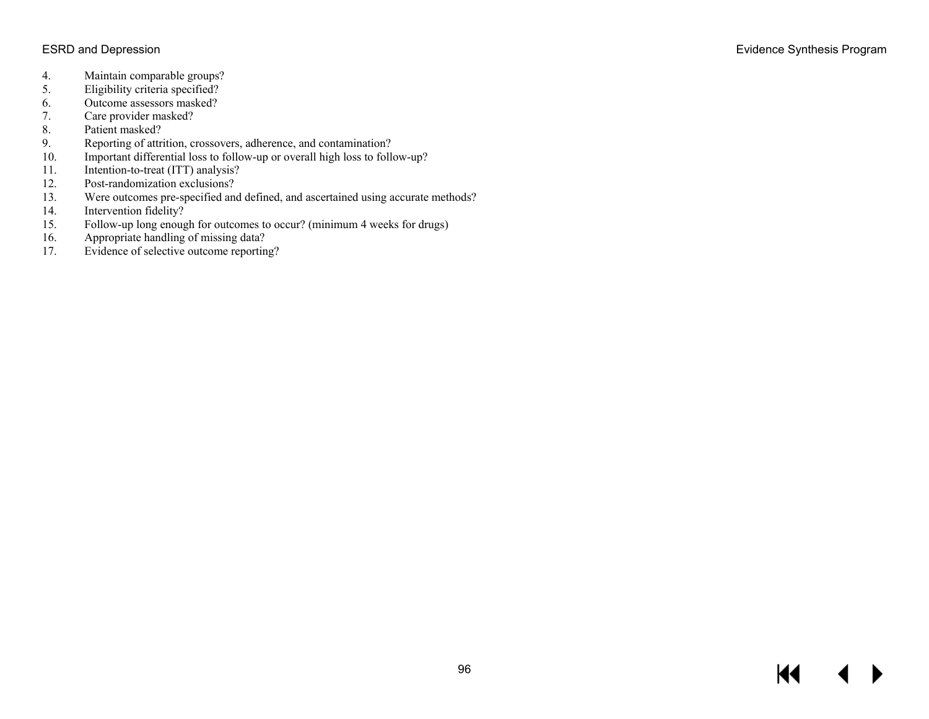- 4. Maintain comparable groups?<br>5. Eligibility criteria specified?
- 5. Eligibility criteria specified?<br>6. Outcome assessors masked?
- 6. Outcome assessors masked?<br>7. Care provider masked?
- 7. Care provider masked?<br>8. Patient masked?
- 8. Patient masked?<br>9. Reporting of attr.
- Reporting of attrition, crossovers, adherence, and contamination?
- 10. Important differential loss to follow-up or overall high loss to follow-up?
- 11. Intention-to-treat (ITT) analysis?
- 12. Post-randomization exclusions?<br>13. Were outcomes pre-specified and
- 13. Were outcomes pre-specified and defined, and ascertained using accurate methods?<br>14. Intervention fidelity?
- Intervention fidelity?
- 15. Follow-up long enough for outcomes to occur? (minimum 4 weeks for drugs)<br>16. Appropriate handling of missing data?
- Appropriate handling of missing data?
- 17. Evidence of selective outcome reporting?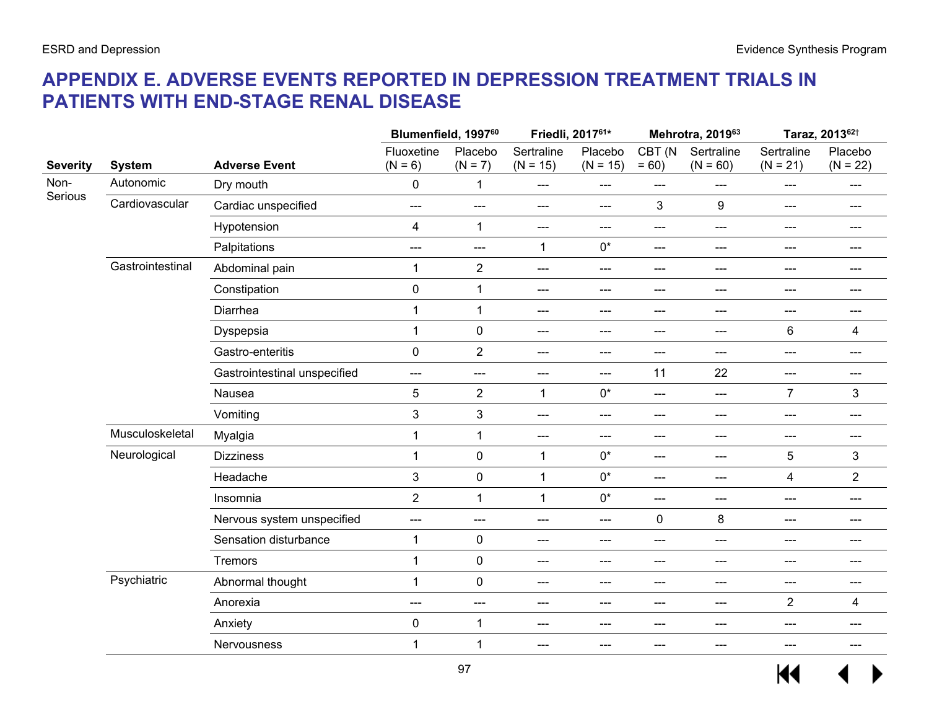# **APPENDIX E. ADVERSE EVENTS REPORTED IN DEPRESSION TREATMENT TRIALS IN PATIENTS WITH END-STAGE RENAL DISEASE**

|                 |                  |                              |                         | Blumenfield, 1997 <sup>60</sup> |                          | Friedli, 201761*           |                          | Mehrotra, 201963          |                            | Taraz, 2013 <sup>62†</sup>  |
|-----------------|------------------|------------------------------|-------------------------|---------------------------------|--------------------------|----------------------------|--------------------------|---------------------------|----------------------------|-----------------------------|
| <b>Severity</b> | <b>System</b>    | <b>Adverse Event</b>         | Fluoxetine<br>$(N = 6)$ | Placebo<br>$(N = 7)$            | Sertraline<br>$(N = 15)$ | Placebo<br>$(N = 15)$      | CBT (N<br>$= 60$         | Sertraline<br>$(N = 60)$  | Sertraline<br>$(N = 21)$   | Placebo<br>$(N = 22)$       |
| Non-            | Autonomic        | Dry mouth                    | 0                       | 1                               | $\qquad \qquad \cdots$   | ---                        | ---                      | ---                       | ---                        | ---                         |
| Serious         | Cardiovascular   | Cardiac unspecified          | ---                     | ---                             | $---$                    | ---                        | 3                        | 9                         | ---                        | ---                         |
|                 |                  | Hypotension                  | $\overline{4}$          | $\mathbf{1}$                    | $---$                    | ---                        | ---                      | ---                       | ---                        | ---                         |
|                 |                  | Palpitations                 | ---                     | ---                             | $\mathbf{1}$             | $0^*$                      | ---                      | ---                       | ---                        | ---                         |
|                 | Gastrointestinal | Abdominal pain               | 1                       | $\sqrt{2}$                      | $\hspace{0.05cm} \ldots$ | $\qquad \qquad \text{---}$ | ---                      | ---                       | ---                        | ---                         |
|                 |                  | Constipation                 | $\mathbf 0$             | $\mathbf{1}$                    | $--$                     | $\qquad \qquad \text{---}$ | ---                      | ---                       | $---$                      | ---                         |
|                 |                  | Diarrhea                     | 1                       | $\mathbf{1}$                    | $---$                    | $\qquad \qquad \text{---}$ | ---                      | ---                       | $---$                      | $---$                       |
|                 |                  | Dyspepsia                    | 1                       | $\pmb{0}$                       | $--$                     | ---                        | ---                      | $---$                     | 6                          | 4<br>---<br>---<br>3<br>--- |
|                 |                  | Gastro-enteritis             | $\mathbf 0$             | $\overline{2}$                  | ---                      | $\qquad \qquad \text{---}$ | ---                      | ---                       | ---                        |                             |
|                 |                  | Gastrointestinal unspecified | ---                     | ---                             | $\qquad \qquad \cdots$   | ---                        | 11                       | 22                        | $---$                      |                             |
|                 |                  | Nausea                       | 5                       | $\overline{2}$                  | 1                        | $0^*$                      | ---                      | $---$                     | $\overline{7}$             |                             |
|                 |                  | Vomiting                     | 3                       | $\mathfrak{3}$                  | $\qquad \qquad \cdots$   | $\qquad \qquad \text{---}$ | ---                      | ---                       | ---                        | ---                         |
|                 | Musculoskeletal  | Myalgia                      | 1                       | $\mathbf 1$                     | $\hspace{0.05cm} \ldots$ | ---                        | ---                      | ---                       | $---$                      |                             |
|                 | Neurological     | <b>Dizziness</b>             | $\mathbf{1}$            | $\pmb{0}$                       | $\mathbf{1}$             | $0^*$                      | $\hspace{0.05cm} \ldots$ | $---$                     | 5                          | 3                           |
|                 |                  | Headache                     | $\mathbf{3}$            | $\pmb{0}$                       | $\mathbf{1}$             | $0^*$                      | $--$                     | $---$                     | $\overline{4}$             | $\overline{2}$              |
|                 |                  | Insomnia                     | $\overline{2}$          | $\mathbf{1}$                    | $\mathbf{1}$             | $0^*$                      | $\overline{\phantom{a}}$ | $---$                     | $\qquad \qquad \text{---}$ | $---$                       |
|                 |                  | Nervous system unspecified   | ---                     | ---                             | $---$                    | ---                        | $\pmb{0}$                | 8                         | ---                        | ---                         |
|                 |                  | Sensation disturbance        | 1                       | $\pmb{0}$                       | $---$                    | $\qquad \qquad \text{---}$ | ---                      | ---                       | ---                        | $---$                       |
|                 |                  | <b>Tremors</b>               | $\mathbf{1}$            | $\pmb{0}$                       | $---$                    | ---                        | ---                      | ---                       | ---                        | ---                         |
|                 | Psychiatric      | Abnormal thought             | $\mathbf{1}$            | $\pmb{0}$                       | $---$                    | ---                        | ---                      | ---                       | ---                        | ---                         |
|                 |                  | Anorexia                     | $---$                   | $\scriptstyle\cdots$            | $---$                    | $\qquad \qquad \text{---}$ | $---$                    | $\qquad \qquad -\qquad -$ | $\overline{2}$             | 4                           |
|                 |                  | Anxiety                      | $\mathbf 0$             | $\mathbf 1$                     | $--$                     | ---                        | ---                      | $---$                     | $---$                      | ---                         |
|                 |                  | Nervousness                  | 1                       | $\mathbf{1}$                    | $---$                    | ---                        | ---                      | ---                       | ---                        | $---$                       |
|                 |                  |                              |                         |                                 |                          |                            |                          |                           |                            |                             |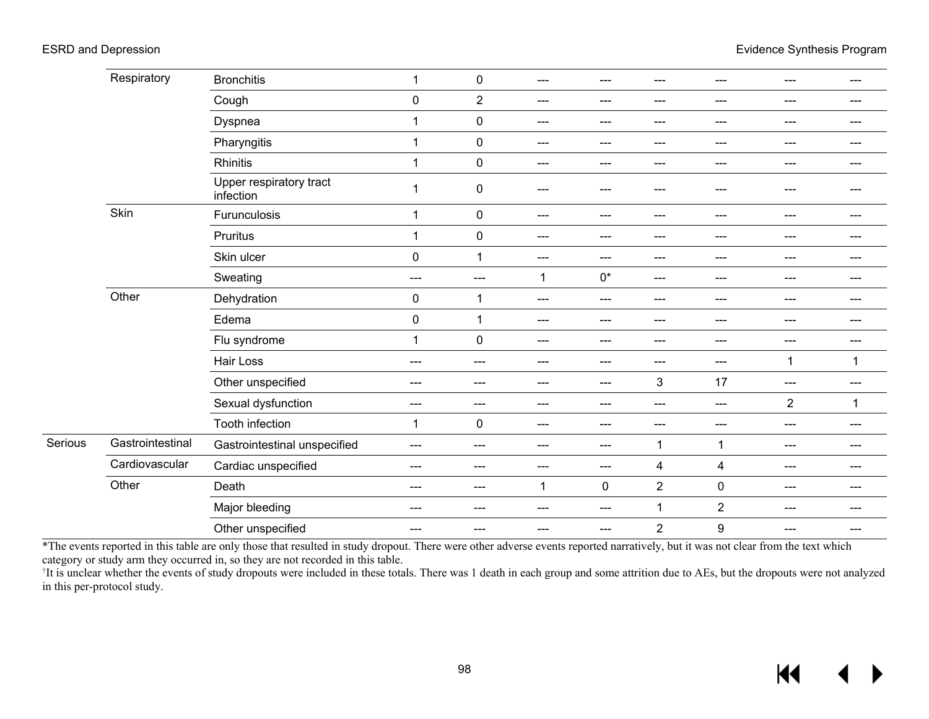|         | Respiratory      | <b>Bronchitis</b>                    | $\mathbf 1$  | $\pmb{0}$      | ---                    | ---       | ---            | ---                     | ---            | $---$   |
|---------|------------------|--------------------------------------|--------------|----------------|------------------------|-----------|----------------|-------------------------|----------------|---------|
|         |                  | Cough                                | $\mathbf 0$  | $\overline{2}$ | ---                    | ---       | ---            | $\qquad \qquad -$       | $---$          | ---     |
|         |                  | Dyspnea                              | 1            | $\mathbf 0$    | ---                    | ---       | ---            | ---                     | $---$          | ---     |
|         |                  | Pharyngitis                          | $\mathbf 1$  | $\pmb{0}$      | ---                    | ---       | ---            | ---                     | $--$           | $---$   |
|         |                  | Rhinitis                             | $\mathbf{1}$ | $\mathbf 0$    | ---                    | ---       | ---            | ---                     | $---$          | ---     |
|         |                  | Upper respiratory tract<br>infection | 1            | $\mathbf 0$    | ---                    | ---       | ---            | ---                     |                |         |
|         | Skin             | Furunculosis                         | 1            | $\pmb{0}$      | ---                    | ---       | ---            | ---                     | $---$          | ---     |
|         |                  | Pruritus                             | $\mathbf{1}$ | $\mathbf 0$    | ---                    | ---       | ---            | ---                     | $- - -$        | $- - -$ |
|         |                  | Skin ulcer                           | $\pmb{0}$    | $\mathbf{1}$   | $\qquad \qquad -$      | ---       | ---            | ---                     | $---$          | $---$   |
|         |                  | Sweating                             | $---$        | $---$          | $\mathbf 1$            | $0^*$     | $---$          | ---                     | $---$          | $---$   |
|         | Other            | Dehydration                          | $\pmb{0}$    | 1              | ---                    | ---       | ---            | ---                     | ---            | ---     |
|         |                  | Edema                                | $\pmb{0}$    | 1              | $\qquad \qquad \cdots$ | ---       | $---$          | $\qquad \qquad \cdots$  | $---$          | $---$   |
|         |                  | Flu syndrome                         | 1            | $\pmb{0}$      | ---                    | ---       | ---            | ---                     | $---$          | ---     |
|         |                  | Hair Loss                            | $--$         | ---            | ---                    | ---       | ---            | ---                     | $\mathbf 1$    | 1       |
|         |                  | Other unspecified                    | $--$         | $---$          | $\qquad \qquad \cdots$ | ---       | 3              | 17                      | $---$          | $--$    |
|         |                  | Sexual dysfunction                   | $---$        | ---            | ---                    | ---       | ---            | ---                     | $\overline{2}$ | 1       |
|         |                  | Tooth infection                      | 1            | $\pmb{0}$      | ---                    | ---       | $---$          | $\qquad \qquad -$       | ---            | ---     |
| Serious | Gastrointestinal | Gastrointestinal unspecified         | $---$        | $---$          | ---                    | ---       | 1              | 1                       | $---$          | $---$   |
|         | Cardiovascular   | Cardiac unspecified                  | $--$         | ---            | ---                    | ---       | 4              | $\overline{\mathbf{4}}$ | ---            | ---     |
|         | Other            | Death                                | $--$         | $---$          | $\mathbf 1$            | $\pmb{0}$ | $\sqrt{2}$     | $\pmb{0}$               | $- - -$        | $- - -$ |
|         |                  | Major bleeding                       | $--$         | ---            | ---                    | ---       | $\mathbf 1$    | $\overline{2}$          | $---$          | $---$   |
|         |                  | Other unspecified                    | $--$         | ---            | ---                    | ---       | $\overline{2}$ | $\boldsymbol{9}$        | ---            | ---     |

\*The events reported in this table are only those that resulted in study dropout. There were other adverse events reported narratively, but it was not clear from the text which category or study arm they occurred in, so they are not recorded in this table.

<sup>†</sup>It is unclear whether the events of study dropouts were included in these totals. There was 1 death in each group and some attrition due to AEs, but the dropouts were not analyzed in this per-protocol study.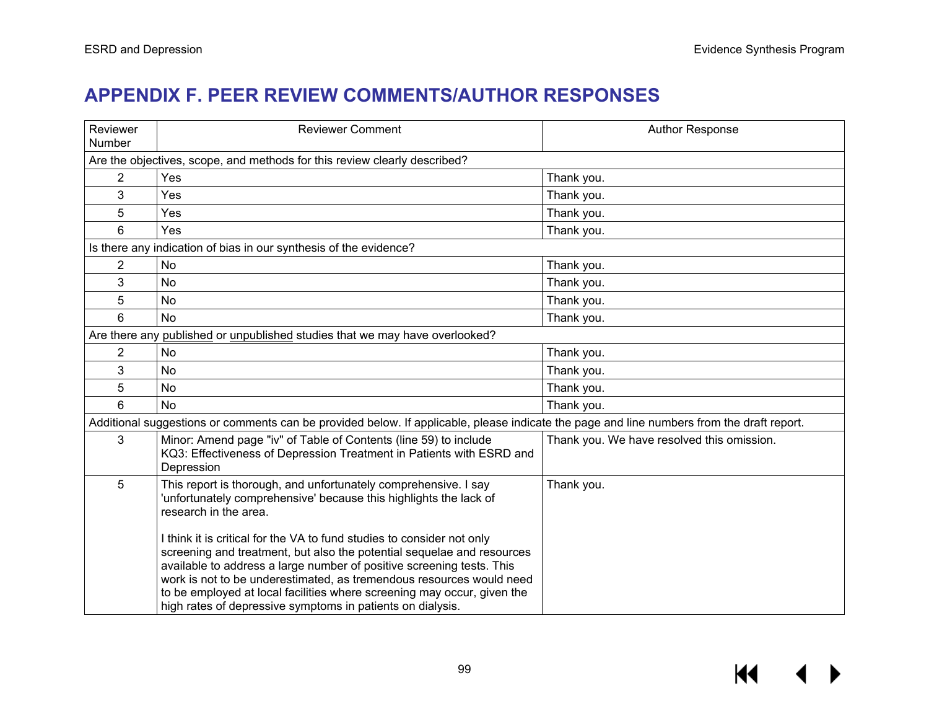# **APPENDIX F. PEER REVIEW COMMENTS/AUTHOR RESPONSES**

| Reviewer<br>Number                                                          | <b>Reviewer Comment</b>                                                                                                                                                                                                                                                                                                                                                                                                                                                                                                                                                                                     | <b>Author Response</b>                     |  |  |  |  |  |  |
|-----------------------------------------------------------------------------|-------------------------------------------------------------------------------------------------------------------------------------------------------------------------------------------------------------------------------------------------------------------------------------------------------------------------------------------------------------------------------------------------------------------------------------------------------------------------------------------------------------------------------------------------------------------------------------------------------------|--------------------------------------------|--|--|--|--|--|--|
|                                                                             | Are the objectives, scope, and methods for this review clearly described?                                                                                                                                                                                                                                                                                                                                                                                                                                                                                                                                   |                                            |  |  |  |  |  |  |
| $\overline{2}$                                                              | Yes                                                                                                                                                                                                                                                                                                                                                                                                                                                                                                                                                                                                         | Thank you.                                 |  |  |  |  |  |  |
| 3                                                                           | Yes                                                                                                                                                                                                                                                                                                                                                                                                                                                                                                                                                                                                         | Thank you.                                 |  |  |  |  |  |  |
| 5                                                                           | Yes                                                                                                                                                                                                                                                                                                                                                                                                                                                                                                                                                                                                         | Thank you.                                 |  |  |  |  |  |  |
| 6                                                                           | Yes                                                                                                                                                                                                                                                                                                                                                                                                                                                                                                                                                                                                         | Thank you.                                 |  |  |  |  |  |  |
|                                                                             | Is there any indication of bias in our synthesis of the evidence?                                                                                                                                                                                                                                                                                                                                                                                                                                                                                                                                           |                                            |  |  |  |  |  |  |
| 2                                                                           | No                                                                                                                                                                                                                                                                                                                                                                                                                                                                                                                                                                                                          | Thank you.                                 |  |  |  |  |  |  |
| 3                                                                           | <b>No</b>                                                                                                                                                                                                                                                                                                                                                                                                                                                                                                                                                                                                   | Thank you.                                 |  |  |  |  |  |  |
| 5                                                                           | No                                                                                                                                                                                                                                                                                                                                                                                                                                                                                                                                                                                                          | Thank you.                                 |  |  |  |  |  |  |
| 6                                                                           | <b>No</b>                                                                                                                                                                                                                                                                                                                                                                                                                                                                                                                                                                                                   | Thank you.                                 |  |  |  |  |  |  |
| Are there any published or unpublished studies that we may have overlooked? |                                                                                                                                                                                                                                                                                                                                                                                                                                                                                                                                                                                                             |                                            |  |  |  |  |  |  |
| $\overline{2}$                                                              | <b>No</b>                                                                                                                                                                                                                                                                                                                                                                                                                                                                                                                                                                                                   | Thank you.                                 |  |  |  |  |  |  |
| 3                                                                           | No                                                                                                                                                                                                                                                                                                                                                                                                                                                                                                                                                                                                          | Thank you.                                 |  |  |  |  |  |  |
| 5                                                                           | <b>No</b>                                                                                                                                                                                                                                                                                                                                                                                                                                                                                                                                                                                                   | Thank you.                                 |  |  |  |  |  |  |
| 6                                                                           | <b>No</b>                                                                                                                                                                                                                                                                                                                                                                                                                                                                                                                                                                                                   | Thank you.                                 |  |  |  |  |  |  |
|                                                                             | Additional suggestions or comments can be provided below. If applicable, please indicate the page and line numbers from the draft report.                                                                                                                                                                                                                                                                                                                                                                                                                                                                   |                                            |  |  |  |  |  |  |
| 3                                                                           | Minor: Amend page "iv" of Table of Contents (line 59) to include<br>KQ3: Effectiveness of Depression Treatment in Patients with ESRD and<br>Depression                                                                                                                                                                                                                                                                                                                                                                                                                                                      | Thank you. We have resolved this omission. |  |  |  |  |  |  |
| 5                                                                           | This report is thorough, and unfortunately comprehensive. I say<br>'unfortunately comprehensive' because this highlights the lack of<br>research in the area.<br>I think it is critical for the VA to fund studies to consider not only<br>screening and treatment, but also the potential sequelae and resources<br>available to address a large number of positive screening tests. This<br>work is not to be underestimated, as tremendous resources would need<br>to be employed at local facilities where screening may occur, given the<br>high rates of depressive symptoms in patients on dialysis. | Thank you.                                 |  |  |  |  |  |  |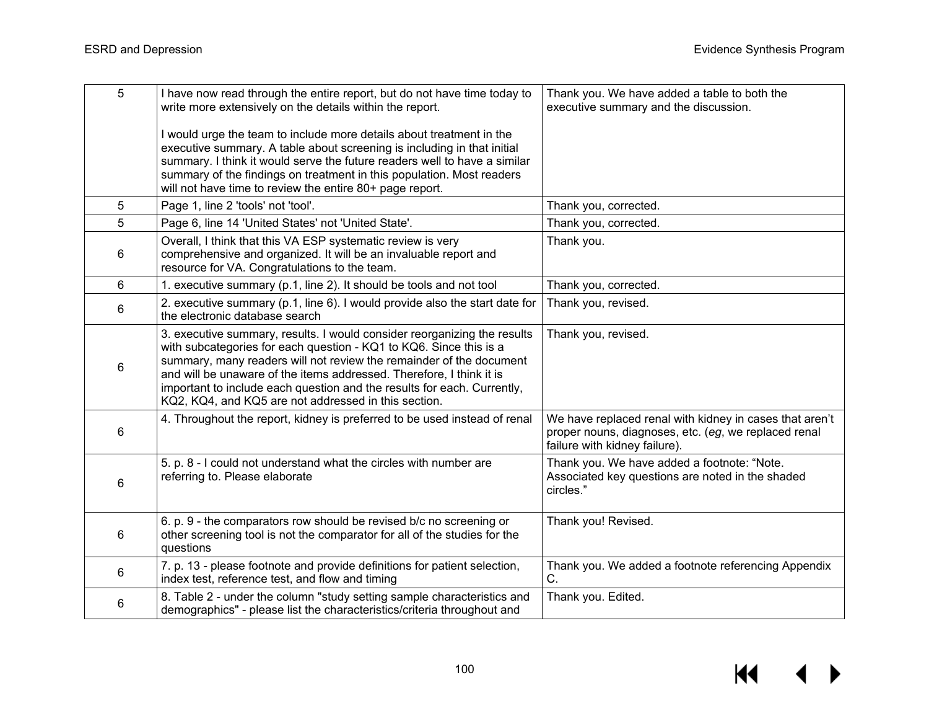| 5 | I have now read through the entire report, but do not have time today to<br>write more extensively on the details within the report.                                                                                                                                                                                                                                                                                             | Thank you. We have added a table to both the<br>executive summary and the discussion.                                                            |
|---|----------------------------------------------------------------------------------------------------------------------------------------------------------------------------------------------------------------------------------------------------------------------------------------------------------------------------------------------------------------------------------------------------------------------------------|--------------------------------------------------------------------------------------------------------------------------------------------------|
|   | I would urge the team to include more details about treatment in the<br>executive summary. A table about screening is including in that initial<br>summary. I think it would serve the future readers well to have a similar<br>summary of the findings on treatment in this population. Most readers<br>will not have time to review the entire 80+ page report.                                                                |                                                                                                                                                  |
| 5 | Page 1, line 2 'tools' not 'tool'.                                                                                                                                                                                                                                                                                                                                                                                               | Thank you, corrected.                                                                                                                            |
| 5 | Page 6, line 14 'United States' not 'United State'.                                                                                                                                                                                                                                                                                                                                                                              | Thank you, corrected.                                                                                                                            |
| 6 | Overall, I think that this VA ESP systematic review is very<br>comprehensive and organized. It will be an invaluable report and<br>resource for VA. Congratulations to the team.                                                                                                                                                                                                                                                 | Thank you.                                                                                                                                       |
| 6 | 1. executive summary (p.1, line 2). It should be tools and not tool                                                                                                                                                                                                                                                                                                                                                              | Thank you, corrected.                                                                                                                            |
| 6 | 2. executive summary (p.1, line 6). I would provide also the start date for<br>the electronic database search                                                                                                                                                                                                                                                                                                                    | Thank you, revised.                                                                                                                              |
| 6 | 3. executive summary, results. I would consider reorganizing the results<br>with subcategories for each question - KQ1 to KQ6. Since this is a<br>summary, many readers will not review the remainder of the document<br>and will be unaware of the items addressed. Therefore, I think it is<br>important to include each question and the results for each. Currently,<br>KQ2, KQ4, and KQ5 are not addressed in this section. | Thank you, revised.                                                                                                                              |
| 6 | 4. Throughout the report, kidney is preferred to be used instead of renal                                                                                                                                                                                                                                                                                                                                                        | We have replaced renal with kidney in cases that aren't<br>proper nouns, diagnoses, etc. (eg, we replaced renal<br>failure with kidney failure). |
| 6 | 5. p. 8 - I could not understand what the circles with number are<br>referring to. Please elaborate                                                                                                                                                                                                                                                                                                                              | Thank you. We have added a footnote: "Note.<br>Associated key questions are noted in the shaded<br>circles."                                     |
| 6 | 6. p. 9 - the comparators row should be revised b/c no screening or<br>other screening tool is not the comparator for all of the studies for the<br>questions                                                                                                                                                                                                                                                                    | Thank you! Revised.                                                                                                                              |
| 6 | 7. p. 13 - please footnote and provide definitions for patient selection,<br>index test, reference test, and flow and timing                                                                                                                                                                                                                                                                                                     | Thank you. We added a footnote referencing Appendix<br>C.                                                                                        |
| 6 | 8. Table 2 - under the column "study setting sample characteristics and<br>demographics" - please list the characteristics/criteria throughout and                                                                                                                                                                                                                                                                               | Thank you. Edited.                                                                                                                               |